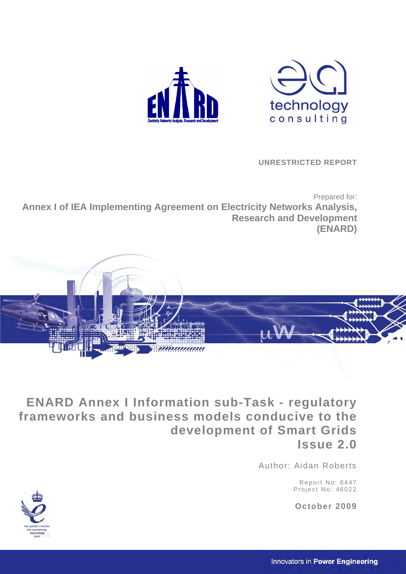



 **UNRESTRICTED REPORT** 

Prepared for: **Annex I of IEA Implementing Agreement on Electricity Networks Analysis, Research and Development (ENARD)** 



**ENARD Annex I Information sub-Task - regulatory frameworks and business models conducive to the development of Smart Grids Issue 2.0** 

Author: Aidan Roberts

Report No: 6447 Project No: 46022

**October 2009** 

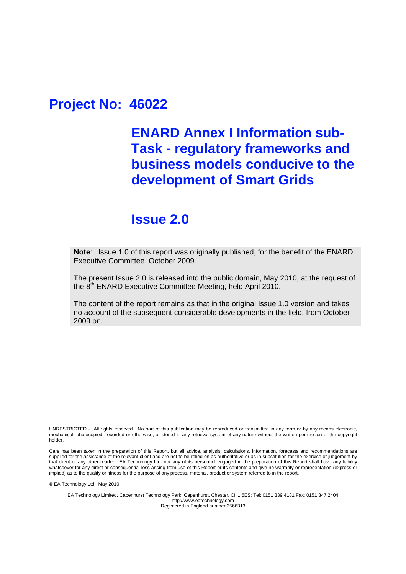## **Project No: 46022**

## **ENARD Annex I Information sub-Task - regulatory frameworks and business models conducive to the development of Smart Grids**

## **Issue 2.0**

**Note**: Issue 1.0 of this report was originally published, for the benefit of the ENARD Executive Committee, October 2009.

The present Issue 2.0 is released into the public domain, May 2010, at the request of the 8<sup>th</sup> ENARD Executive Committee Meeting, held April 2010.

The content of the report remains as that in the original Issue 1.0 version and takes no account of the subsequent considerable developments in the field, from October 2009 on.

UNRESTRICTED - All rights reserved. No part of this publication may be reproduced or transmitted in any form or by any means electronic, mechanical, photocopied, recorded or otherwise, or stored in any retrieval system of any nature without the written permission of the copyright holder.

Care has been taken in the preparation of this Report, but all advice, analysis, calculations, information, forecasts and recommendations are supplied for the assistance of the relevant client and are not to be relied on as authoritative or as in substitution for the exercise of judgement by that client or any other reader. EA Technology Ltd. nor any of its personnel engaged in the preparation of this Report shall have any liability whatsoever for any direct or consequential loss arising from use of this Report or its contents and give no warranty or representation (express or implied) as to the quality or fitness for the purpose of any process, material, product or system referred to in the report.

© EA Technology Ltd May 2010

EA Technology Limited, Capenhurst Technology Park, Capenhurst, Chester, CH1 6ES; Tel: 0151 339 4181 Fax: 0151 347 2404 http://www.eatechnology.com Registered in England number 2566313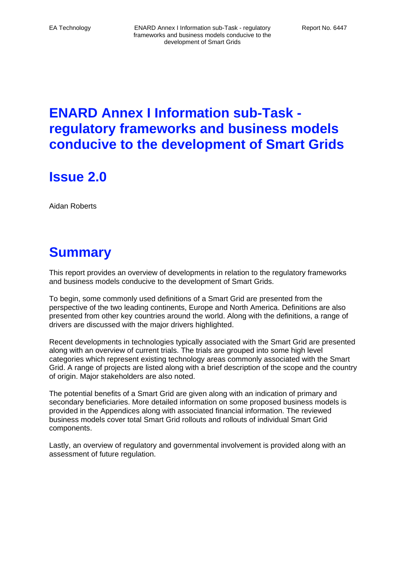**Issue 2.0** 

Aidan Roberts

# **Summary**

This report provides an overview of developments in relation to the regulatory frameworks and business models conducive to the development of Smart Grids.

To begin, some commonly used definitions of a Smart Grid are presented from the perspective of the two leading continents, Europe and North America. Definitions are also presented from other key countries around the world. Along with the definitions, a range of drivers are discussed with the major drivers highlighted.

Recent developments in technologies typically associated with the Smart Grid are presented along with an overview of current trials. The trials are grouped into some high level categories which represent existing technology areas commonly associated with the Smart Grid. A range of projects are listed along with a brief description of the scope and the country of origin. Major stakeholders are also noted.

The potential benefits of a Smart Grid are given along with an indication of primary and secondary beneficiaries. More detailed information on some proposed business models is provided in the Appendices along with associated financial information. The reviewed business models cover total Smart Grid rollouts and rollouts of individual Smart Grid components.

Lastly, an overview of regulatory and governmental involvement is provided along with an assessment of future regulation.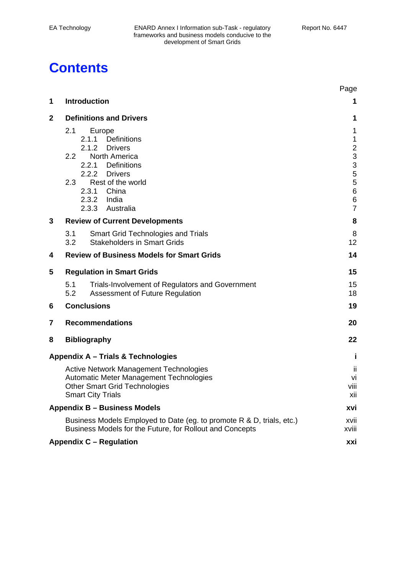# **Contents**

|             |                                                                                                                                                              | Page                                              |
|-------------|--------------------------------------------------------------------------------------------------------------------------------------------------------------|---------------------------------------------------|
| 1           | <b>Introduction</b>                                                                                                                                          | 1                                                 |
| $\mathbf 2$ | <b>Definitions and Drivers</b>                                                                                                                               | 1                                                 |
|             | 2.1<br>Europe<br>Definitions<br>2.1.1<br>2.1.2<br><b>Drivers</b>                                                                                             | 1<br>$\mathbf 1$                                  |
|             | North America<br>$2.2\phantom{0}$<br>Definitions<br>2.2.1<br>2.2.2 Drivers                                                                                   | $\begin{array}{c}\n2 \\ 3 \\ 3 \\ 5\n\end{array}$ |
|             | 2.3<br>Rest of the world<br>2.3.1 China<br>2.3.2 India<br>2.3.3 Australia                                                                                    | 5<br>$\,6$<br>$\,6$<br>$\overline{7}$             |
| 3           | <b>Review of Current Developments</b>                                                                                                                        | 8                                                 |
|             | 3.1<br><b>Smart Grid Technologies and Trials</b><br>3.2<br><b>Stakeholders in Smart Grids</b>                                                                | 8<br>12                                           |
| 4           | <b>Review of Business Models for Smart Grids</b>                                                                                                             | 14                                                |
| 5           | <b>Regulation in Smart Grids</b>                                                                                                                             | 15                                                |
|             | 5.1<br>Trials-Involvement of Regulators and Government<br>5.2<br>Assessment of Future Regulation                                                             | 15<br>18                                          |
| 6           | <b>Conclusions</b>                                                                                                                                           | 19                                                |
| 7           | <b>Recommendations</b>                                                                                                                                       | 20                                                |
| 8           | <b>Bibliography</b>                                                                                                                                          | 22                                                |
|             | Appendix A - Trials & Technologies                                                                                                                           | Ť                                                 |
|             | <b>Active Network Management Technologies</b><br>Automatic Meter Management Technologies<br><b>Other Smart Grid Technologies</b><br><b>Smart City Trials</b> | ji<br>vi<br>viii<br>xii                           |
|             | <b>Appendix B - Business Models</b>                                                                                                                          | xvi                                               |
|             | Business Models Employed to Date (eg. to promote R & D, trials, etc.)<br>Business Models for the Future, for Rollout and Concepts                            | xvii<br>xviii                                     |
|             | <b>Appendix C - Regulation</b>                                                                                                                               | xxi                                               |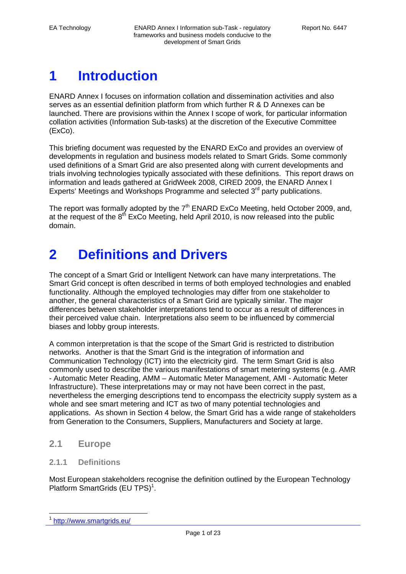# **1 Introduction**

ENARD Annex I focuses on information collation and dissemination activities and also serves as an essential definition platform from which further R & D Annexes can be launched. There are provisions within the Annex I scope of work, for particular information collation activities (Information Sub-tasks) at the discretion of the Executive Committee (ExCo).

This briefing document was requested by the ENARD ExCo and provides an overview of developments in regulation and business models related to Smart Grids. Some commonly used definitions of a Smart Grid are also presented along with current developments and trials involving technologies typically associated with these definitions. This report draws on information and leads gathered at GridWeek 2008, CIRED 2009, the ENARD Annex I Experts' Meetings and Workshops Programme and selected  $3<sup>rd</sup>$  party publications.

The report was formally adopted by the  $7<sup>th</sup>$  ENARD ExCo Meeting, held October 2009, and, at the request of the  $8<sup>th</sup>$  ExCo Meeting, held April 2010, is now released into the public domain.

## **2 Definitions and Drivers**

The concept of a Smart Grid or Intelligent Network can have many interpretations. The Smart Grid concept is often described in terms of both employed technologies and enabled functionality. Although the employed technologies may differ from one stakeholder to another, the general characteristics of a Smart Grid are typically similar. The major differences between stakeholder interpretations tend to occur as a result of differences in their perceived value chain. Interpretations also seem to be influenced by commercial biases and lobby group interests.

A common interpretation is that the scope of the Smart Grid is restricted to distribution networks. Another is that the Smart Grid is the integration of information and Communication Technology (ICT) into the electricity gird. The term Smart Grid is also commonly used to describe the various manifestations of smart metering systems (e.g. AMR - Automatic Meter Reading, AMM – Automatic Meter Management, AMI - Automatic Meter Infrastructure). These interpretations may or may not have been correct in the past, nevertheless the emerging descriptions tend to encompass the electricity supply system as a whole and see smart metering and ICT as two of many potential technologies and applications. As shown in Section 4 below, the Smart Grid has a wide range of stakeholders from Generation to the Consumers, Suppliers, Manufacturers and Society at large.

## **2.1 Europe**

## **2.1.1 Definitions**

Most European stakeholders recognise the definition outlined by the European Technology Platform SmartGrids (EU TPS)<sup>1</sup>.

http://www.smartgrids.eu/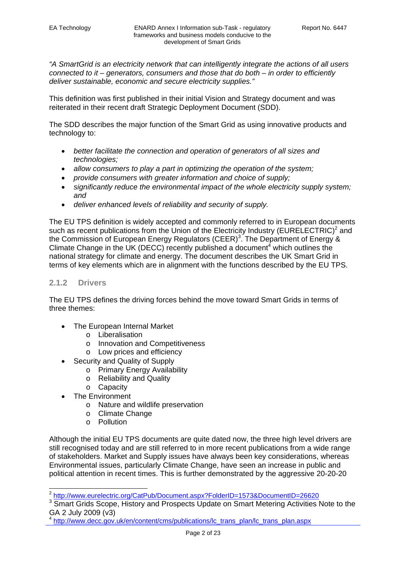*"A SmartGrid is an electricity network that can intelligently integrate the actions of all users connected to it – generators, consumers and those that do both – in order to efficiently deliver sustainable, economic and secure electricity supplies."* 

This definition was first published in their initial Vision and Strategy document and was reiterated in their recent draft Strategic Deployment Document (SDD).

The SDD describes the major function of the Smart Grid as using innovative products and technology to:

- *better facilitate the connection and operation of generators of all sizes and technologies;*
- *allow consumers to play a part in optimizing the operation of the system;*
- *provide consumers with greater information and choice of supply;*
- *significantly reduce the environmental impact of the whole electricity supply system; and*
- *deliver enhanced levels of reliability and security of supply.*

The EU TPS definition is widely accepted and commonly referred to in European documents such as recent publications from the Union of the Electricity Industry (EURELECTRIC)<sup>2</sup> and the Commission of European Energy Regulators (CEER)<sup>3</sup>. The Department of Energy & Climate Change in the UK (DECC) recently published a document<sup>4</sup> which outlines the national strategy for climate and energy. The document describes the UK Smart Grid in terms of key elements which are in alignment with the functions described by the EU TPS.

#### **2.1.2 Drivers**

The EU TPS defines the driving forces behind the move toward Smart Grids in terms of three themes:

- The European Internal Market
	- o Liberalisation
	- o Innovation and Competitiveness
	- o Low prices and efficiency
- Security and Quality of Supply
	- o Primary Energy Availability
	- o Reliability and Quality
	- o Capacity
- The Environment

- o Nature and wildlife preservation
- o Climate Change
- o Pollution

Although the initial EU TPS documents are quite dated now, the three high level drivers are still recognised today and are still referred to in more recent publications from a wide range of stakeholders. Market and Supply issues have always been key considerations, whereas Environmental issues, particularly Climate Change, have seen an increase in public and political attention in recent times. This is further demonstrated by the aggressive 20-20-20

<sup>&</sup>lt;sup>2</sup> http://www.eurelectric.org/CatPub/Document.aspx?FolderID=1573&DocumentID=26620

<sup>&</sup>lt;sup>3</sup> Smart Grids Scope, History and Prospects Update on Smart Metering Activities Note to the GA 2 July 2009 (v3)

http://www.decc.gov.uk/en/content/cms/publications/lc\_trans\_plan/lc\_trans\_plan.aspx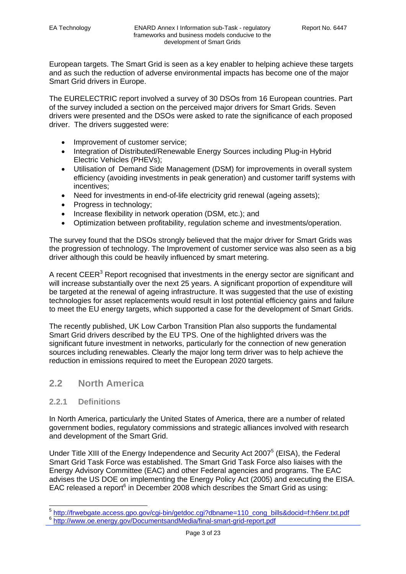European targets. The Smart Grid is seen as a key enabler to helping achieve these targets and as such the reduction of adverse environmental impacts has become one of the major Smart Grid drivers in Europe.

The EURELECTRIC report involved a survey of 30 DSOs from 16 European countries. Part of the survey included a section on the perceived major drivers for Smart Grids. Seven drivers were presented and the DSOs were asked to rate the significance of each proposed driver. The drivers suggested were:

- Improvement of customer service;
- Integration of Distributed/Renewable Energy Sources including Plug-in Hybrid Electric Vehicles (PHEVs);
- Utilisation of Demand Side Management (DSM) for improvements in overall system efficiency (avoiding investments in peak generation) and customer tariff systems with incentives;
- Need for investments in end-of-life electricity grid renewal (ageing assets);
- Progress in technology;
- Increase flexibility in network operation (DSM, etc.); and
- Optimization between profitability, regulation scheme and investments/operation.

The survey found that the DSOs strongly believed that the major driver for Smart Grids was the progression of technology. The Improvement of customer service was also seen as a big driver although this could be heavily influenced by smart metering.

A recent CEER<sup>3</sup> Report recognised that investments in the energy sector are significant and will increase substantially over the next 25 years. A significant proportion of expenditure will be targeted at the renewal of ageing infrastructure. It was suggested that the use of existing technologies for asset replacements would result in lost potential efficiency gains and failure to meet the EU energy targets, which supported a case for the development of Smart Grids.

The recently published, UK Low Carbon Transition Plan also supports the fundamental Smart Grid drivers described by the EU TPS. One of the highlighted drivers was the significant future investment in networks, particularly for the connection of new generation sources including renewables. Clearly the major long term driver was to help achieve the reduction in emissions required to meet the European 2020 targets.

## **2.2 North America**

#### **2.2.1 Definitions**

In North America, particularly the United States of America, there are a number of related government bodies, regulatory commissions and strategic alliances involved with research and development of the Smart Grid.

Under Title XIII of the Energy Independence and Security Act 2007<sup>5</sup> (EISA), the Federal Smart Grid Task Force was established. The Smart Grid Task Force also liaises with the Energy Advisory Committee (EAC) and other Federal agencies and programs. The EAC advises the US DOE on implementing the Energy Policy Act (2005) and executing the EISA. EAC released a report $6$  in December 2008 which describes the Smart Grid as using:

<sup>&</sup>lt;sup>5</sup> <u>http://frwebgate.access.gpo.gov/cgi-bin/getdoc.cgi?dbname=110\_cong\_bills&docid=f:h6enr.txt.pdf<br><sup>6</sup> <u>http://www.oe.energy.gov/DocumentsandMedia/final-smart-grid-report.pdf</u></u>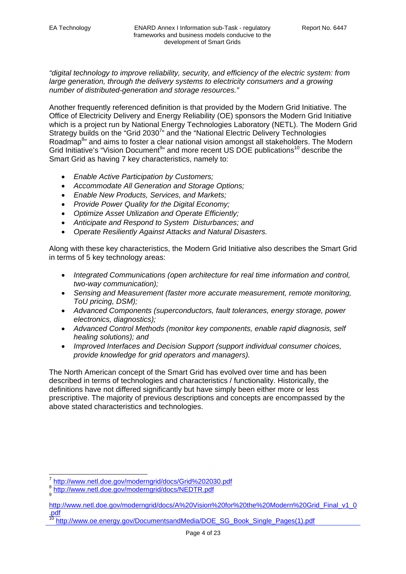*"digital technology to improve reliability, security, and efficiency of the electric system: from large generation, through the delivery systems to electricity consumers and a growing number of distributed-generation and storage resources."*

Another frequently referenced definition is that provided by the Modern Grid Initiative. The Office of Electricity Delivery and Energy Reliability (OE) sponsors the Modern Grid Initiative which is a project run by National Energy Technologies Laboratory (NETL). The Modern Grid Strategy builds on the "Grid 2030<sup>7</sup>" and the "National Electric Delivery Technologies Roadmap<sup>8</sup>" and aims to foster a clear national vision amongst all stakeholders. The Modern Grid Initiative's "Vision Document<sup>9</sup>" and more recent US DOE publications<sup>10</sup> describe the Smart Grid as having 7 key characteristics, namely to:

- *Enable Active Participation by Customers;*
- *Accommodate All Generation and Storage Options;*
- *Enable New Products, Services, and Markets;*
- *Provide Power Quality for the Digital Economy;*
- *Optimize Asset Utilization and Operate Efficiently;*
- *Anticipate and Respond to System Disturbances; and*
- *Operate Resiliently Against Attacks and Natural Disasters.*

Along with these key characteristics, the Modern Grid Initiative also describes the Smart Grid in terms of 5 key technology areas:

- *Integrated Communications (open architecture for real time information and control, two-way communication);*
- *Sensing and Measurement (faster more accurate measurement, remote monitoring, ToU pricing, DSM);*
- *Advanced Components (superconductors, fault tolerances, energy storage, power electronics, diagnostics);*
- *Advanced Control Methods (monitor key components, enable rapid diagnosis, self healing solutions); and*
- *Improved Interfaces and Decision Support (support individual consumer choices, provide knowledge for grid operators and managers).*

The North American concept of the Smart Grid has evolved over time and has been described in terms of technologies and characteristics / functionality. Historically, the definitions have not differed significantly but have simply been either more or less prescriptive. The majority of previous descriptions and concepts are encompassed by the above stated characteristics and technologies.

-

<sup>&</sup>lt;sup>7</sup> http://www.netl.doe.gov/moderngrid/docs/Grid%202030.pdf<br><sup>8</sup> http://www.netl.doe.gov/moderngrid/docs/NEDTR.pdf<br>9

http://www.netl.doe.gov/moderngrid/docs/A%20Vision%20for%20the%20Modern%20Grid\_Final\_v1\_0 .pdf

http://www.oe.energy.gov/DocumentsandMedia/DOE\_SG\_Book\_Single\_Pages(1).pdf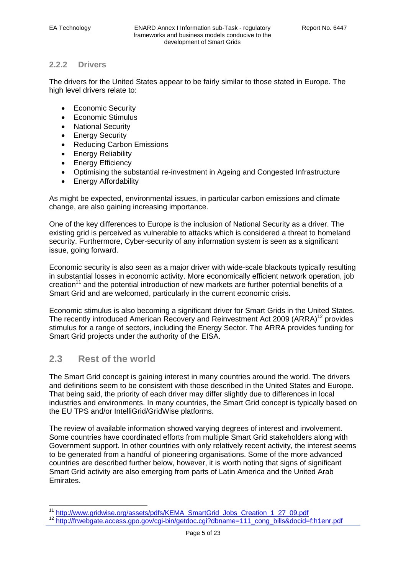## **2.2.2 Drivers**

The drivers for the United States appear to be fairly similar to those stated in Europe. The high level drivers relate to:

- Economic Security
- Economic Stimulus
- National Security
- **•** Energy Security
- Reducing Carbon Emissions
- **Energy Reliability**
- Energy Efficiency
- Optimising the substantial re-investment in Ageing and Congested Infrastructure
- Energy Affordability

As might be expected, environmental issues, in particular carbon emissions and climate change, are also gaining increasing importance.

One of the key differences to Europe is the inclusion of National Security as a driver. The existing grid is perceived as vulnerable to attacks which is considered a threat to homeland security. Furthermore, Cyber-security of any information system is seen as a significant issue, going forward.

Economic security is also seen as a major driver with wide-scale blackouts typically resulting in substantial losses in economic activity. More economically efficient network operation, job creation<sup>11</sup> and the potential introduction of new markets are further potential benefits of a Smart Grid and are welcomed, particularly in the current economic crisis.

Economic stimulus is also becoming a significant driver for Smart Grids in the United States. The recently introduced American Recovery and Reinvestment Act 2009 ( $ARRA$ <sup>12</sup> provides stimulus for a range of sectors, including the Energy Sector. The ARRA provides funding for Smart Grid projects under the authority of the EISA.

## **2.3 Rest of the world**

The Smart Grid concept is gaining interest in many countries around the world. The drivers and definitions seem to be consistent with those described in the United States and Europe. That being said, the priority of each driver may differ slightly due to differences in local industries and environments. In many countries, the Smart Grid concept is typically based on the EU TPS and/or IntelliGrid/GridWise platforms.

The review of available information showed varying degrees of interest and involvement. Some countries have coordinated efforts from multiple Smart Grid stakeholders along with Government support. In other countries with only relatively recent activity, the interest seems to be generated from a handful of pioneering organisations. Some of the more advanced countries are described further below, however, it is worth noting that signs of significant Smart Grid activity are also emerging from parts of Latin America and the United Arab Emirates.

<sup>&</sup>lt;sup>11</sup> http://www.qridwise.org/assets/pdfs/KEMA\_SmartGrid\_Jobs\_Creation\_1\_27\_09.pdf

<sup>12</sup> http://frwebgate.access.gpo.gov/cgi-bin/getdoc.cgi?dbname=111\_cong\_bills&docid=f:h1enr.pdf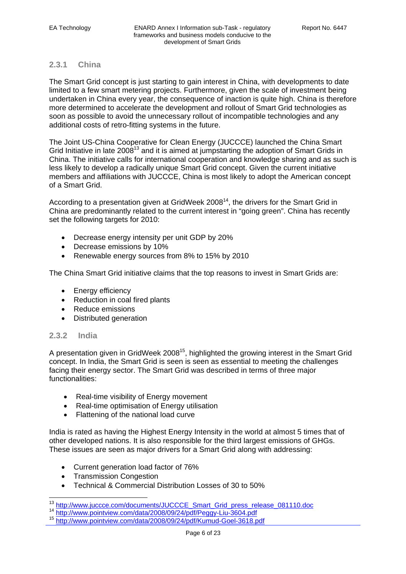### **2.3.1 China**

The Smart Grid concept is just starting to gain interest in China, with developments to date limited to a few smart metering projects. Furthermore, given the scale of investment being undertaken in China every year, the consequence of inaction is quite high. China is therefore more determined to accelerate the development and rollout of Smart Grid technologies as soon as possible to avoid the unnecessary rollout of incompatible technologies and any additional costs of retro-fitting systems in the future.

The Joint US-China Cooperative for Clean Energy (JUCCCE) launched the China Smart Grid Initiative in late 2008<sup>13</sup> and it is aimed at jumpstarting the adoption of Smart Grids in China. The initiative calls for international cooperation and knowledge sharing and as such is less likely to develop a radically unique Smart Grid concept. Given the current initiative members and affiliations with JUCCCE, China is most likely to adopt the American concept of a Smart Grid.

According to a presentation given at GridWeek  $2008<sup>14</sup>$ , the drivers for the Smart Grid in China are predominantly related to the current interest in "going green". China has recently set the following targets for 2010:

- Decrease energy intensity per unit GDP by 20%
- Decrease emissions by 10%
- Renewable energy sources from 8% to 15% by 2010

The China Smart Grid initiative claims that the top reasons to invest in Smart Grids are:

- Energy efficiency
- Reduction in coal fired plants
- Reduce emissions
- Distributed generation

### **2.3.2 India**

 $\overline{\phantom{a}}$ 

A presentation given in GridWeek 2008<sup>15</sup>, highlighted the growing interest in the Smart Grid concept. In India, the Smart Grid is seen is seen as essential to meeting the challenges facing their energy sector. The Smart Grid was described in terms of three major functionalities:

- Real-time visibility of Energy movement
- Real-time optimisation of Energy utilisation
- Flattening of the national load curve

India is rated as having the Highest Energy Intensity in the world at almost 5 times that of other developed nations. It is also responsible for the third largest emissions of GHGs. These issues are seen as major drivers for a Smart Grid along with addressing:

- Current generation load factor of 76%
- Transmission Congestion
- Technical & Commercial Distribution Losses of 30 to 50%

<sup>&</sup>lt;sup>13</sup> http://www.juccce.com/documents/JUCCCE\_Smart\_Grid\_press\_release\_081110.doc<br><sup>14</sup> http://www.pointview.com/data/2008/09/24/pdf/Peggy-Liu-3604.pdf<br><sup>15</sup> <u>http://www.pointview.com/data/2008/09/24/pdf/Kumud-Goel-3618.pdf</u>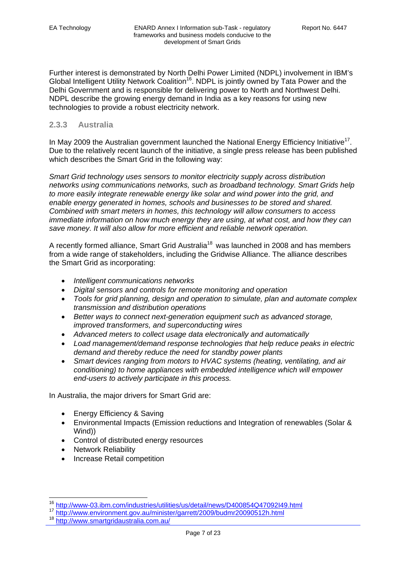Further interest is demonstrated by North Delhi Power Limited (NDPL) involvement in IBM's Global Intelligent Utility Network Coalition<sup>16</sup>. NDPL is jointly owned by Tata Power and the Delhi Government and is responsible for delivering power to North and Northwest Delhi. NDPL describe the growing energy demand in India as a key reasons for using new technologies to provide a robust electricity network.

## **2.3.3 Australia**

In May 2009 the Australian government launched the National Energy Efficiency Initiative<sup>17</sup>. Due to the relatively recent launch of the initiative, a single press release has been published which describes the Smart Grid in the following way:

*Smart Grid technology uses sensors to monitor electricity supply across distribution networks using communications networks, such as broadband technology. Smart Grids help to more easily integrate renewable energy like solar and wind power into the grid, and enable energy generated in homes, schools and businesses to be stored and shared. Combined with smart meters in homes, this technology will allow consumers to access immediate information on how much energy they are using, at what cost, and how they can save money. It will also allow for more efficient and reliable network operation.* 

A recently formed alliance, Smart Grid Australia<sup>18</sup> was launched in 2008 and has members from a wide range of stakeholders, including the Gridwise Alliance. The alliance describes the Smart Grid as incorporating:

- *Intelligent communications networks*
- *Digital sensors and controls for remote monitoring and operation*
- *Tools for grid planning, design and operation to simulate, plan and automate complex transmission and distribution operations*
- *Better ways to connect next-generation equipment such as advanced storage, improved transformers, and superconducting wires*
- *Advanced meters to collect usage data electronically and automatically*
- *Load management/demand response technologies that help reduce peaks in electric demand and thereby reduce the need for standby power plants*
- *Smart devices ranging from motors to HVAC systems (heating, ventilating, and air conditioning) to home appliances with embedded intelligence which will empower end-users to actively participate in this process.*

In Australia, the major drivers for Smart Grid are:

- Energy Efficiency & Saving
- Environmental Impacts (Emission reductions and Integration of renewables (Solar & Wind))
- Control of distributed energy resources
- Network Reliability

 $\overline{\phantom{a}}$ 

• Increase Retail competition

<sup>16</sup> http://www-03.ibm.com/industries/utilities/us/detail/news/D400854Q47092I49.html

<sup>17</sup> http://www.environment.gov.au/minister/garrett/2009/budmr20090512h.html<br>18 http://www.smartgridaustralia.com.au/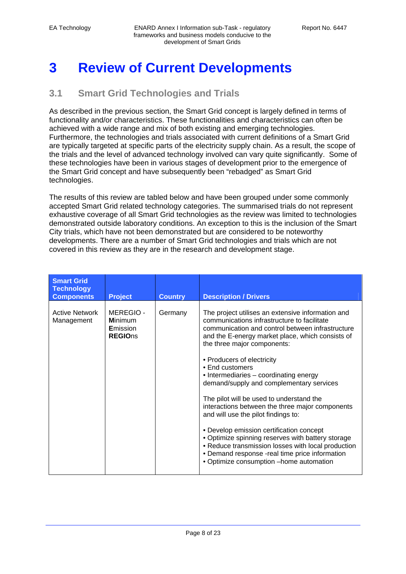# **3 Review of Current Developments**

## **3.1 Smart Grid Technologies and Trials**

As described in the previous section, the Smart Grid concept is largely defined in terms of functionality and/or characteristics. These functionalities and characteristics can often be achieved with a wide range and mix of both existing and emerging technologies. Furthermore, the technologies and trials associated with current definitions of a Smart Grid are typically targeted at specific parts of the electricity supply chain. As a result, the scope of the trials and the level of advanced technology involved can vary quite significantly. Some of these technologies have been in various stages of development prior to the emergence of the Smart Grid concept and have subsequently been "rebadged" as Smart Grid technologies.

The results of this review are tabled below and have been grouped under some commonly accepted Smart Grid related technology categories. The summarised trials do not represent exhaustive coverage of all Smart Grid technologies as the review was limited to technologies demonstrated outside laboratory conditions. An exception to this is the inclusion of the Smart City trials, which have not been demonstrated but are considered to be noteworthy developments. There are a number of Smart Grid technologies and trials which are not covered in this review as they are in the research and development stage.

| <b>Smart Grid</b><br><b>Technology</b><br><b>Components</b> | <b>Project</b>                                           | <b>Country</b> | <b>Description / Drivers</b>                                                                                                                                                                                                                                                                                                                                                   |
|-------------------------------------------------------------|----------------------------------------------------------|----------------|--------------------------------------------------------------------------------------------------------------------------------------------------------------------------------------------------------------------------------------------------------------------------------------------------------------------------------------------------------------------------------|
| <b>Active Network</b><br>Management                         | MEREGIO-<br><b>Minimum</b><br>Emission<br><b>REGIOns</b> | Germany        | The project utilises an extensive information and<br>communications infrastructure to facilitate<br>communication and control between infrastructure<br>and the E-energy market place, which consists of<br>the three major components:<br>• Producers of electricity<br>• End customers<br>• Intermediaries – coordinating energy<br>demand/supply and complementary services |
|                                                             |                                                          |                | The pilot will be used to understand the<br>interactions between the three major components<br>and will use the pilot findings to:<br>• Develop emission certification concept<br>• Optimize spinning reserves with battery storage<br>• Reduce transmission losses with local production                                                                                      |
|                                                             |                                                          |                | • Demand response -real time price information<br>· Optimize consumption -home automation                                                                                                                                                                                                                                                                                      |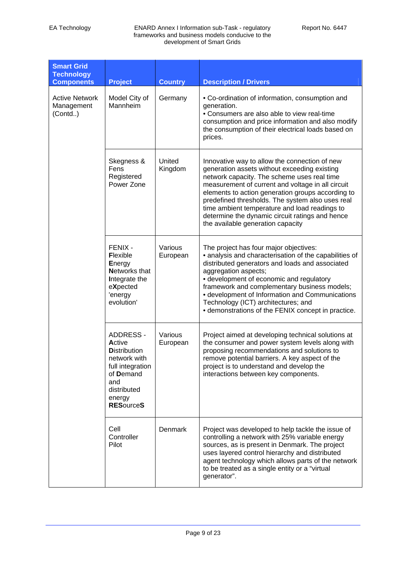| <b>Smart Grid</b><br><b>Technology</b><br><b>Components</b> | <b>Project</b>                                                                                                                                         | <b>Country</b>      | <b>Description / Drivers</b>                                                                                                                                                                                                                                                                                                                                                                                                                        |
|-------------------------------------------------------------|--------------------------------------------------------------------------------------------------------------------------------------------------------|---------------------|-----------------------------------------------------------------------------------------------------------------------------------------------------------------------------------------------------------------------------------------------------------------------------------------------------------------------------------------------------------------------------------------------------------------------------------------------------|
| <b>Active Network</b><br>Management<br>(Control.)           | Model City of<br>Mannheim                                                                                                                              | Germany             | • Co-ordination of information, consumption and<br>generation.<br>• Consumers are also able to view real-time<br>consumption and price information and also modify<br>the consumption of their electrical loads based on<br>prices.                                                                                                                                                                                                                 |
|                                                             | Skegness &<br>Fens<br>Registered<br>Power Zone                                                                                                         | United<br>Kingdom   | Innovative way to allow the connection of new<br>generation assets without exceeding existing<br>network capacity. The scheme uses real time<br>measurement of current and voltage in all circuit<br>elements to action generation groups according to<br>predefined thresholds. The system also uses real<br>time ambient temperature and load readings to<br>determine the dynamic circuit ratings and hence<br>the available generation capacity |
|                                                             | FENIX -<br><b>Flexible</b><br>Energy<br><b>Networks that</b><br>Integrate the<br>eXpected<br>'energy<br>evolution'                                     | Various<br>European | The project has four major objectives:<br>• analysis and characterisation of the capabilities of<br>distributed generators and loads and associated<br>aggregation aspects;<br>• development of economic and regulatory<br>framework and complementary business models;<br>• development of Information and Communications<br>Technology (ICT) architectures; and<br>• demonstrations of the FENIX concept in practice.                             |
|                                                             | <b>ADDRESS -</b><br>Active<br><b>Distribution</b><br>network with<br>full integration<br>of Demand<br>and<br>distributed<br>energy<br><b>RESourceS</b> | Various<br>European | Project aimed at developing technical solutions at<br>the consumer and power system levels along with<br>proposing recommendations and solutions to<br>remove potential barriers. A key aspect of the<br>project is to understand and develop the<br>interactions between key components.                                                                                                                                                           |
|                                                             | Cell<br>Controller<br>Pilot                                                                                                                            | Denmark             | Project was developed to help tackle the issue of<br>controlling a network with 25% variable energy<br>sources, as is present in Denmark. The project<br>uses layered control hierarchy and distributed<br>agent technology which allows parts of the network<br>to be treated as a single entity or a "virtual<br>generator".                                                                                                                      |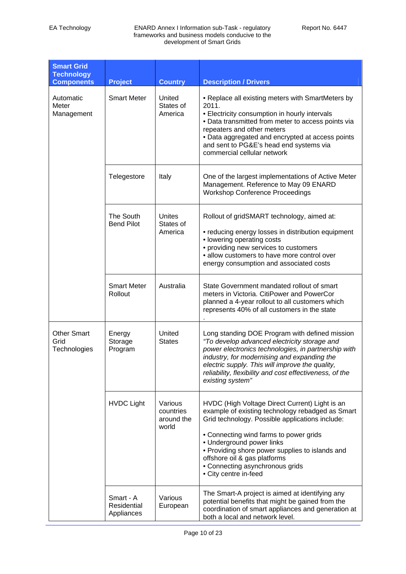| <b>Smart Grid</b><br><b>Technology</b><br><b>Components</b> | <b>Project</b>                                          | <b>Country</b>                              | <b>Description / Drivers</b>                                                                                                                                                                                                                                                                                                                                                |
|-------------------------------------------------------------|---------------------------------------------------------|---------------------------------------------|-----------------------------------------------------------------------------------------------------------------------------------------------------------------------------------------------------------------------------------------------------------------------------------------------------------------------------------------------------------------------------|
| Automatic<br>Meter<br>Management                            | <b>Smart Meter</b>                                      | United<br>States of<br>America              | • Replace all existing meters with SmartMeters by<br>2011.<br>• Electricity consumption in hourly intervals<br>· Data transmitted from meter to access points via<br>repeaters and other meters<br>• Data aggregated and encrypted at access points<br>and sent to PG&E's head end systems via<br>commercial cellular network                                               |
|                                                             | Telegestore                                             | Italy                                       | One of the largest implementations of Active Meter<br>Management. Reference to May 09 ENARD<br><b>Workshop Conference Proceedings</b>                                                                                                                                                                                                                                       |
|                                                             | The South<br><b>Bend Pilot</b>                          | Unites<br>States of<br>America              | Rollout of gridSMART technology, aimed at:<br>• reducing energy losses in distribution equipment<br>• lowering operating costs<br>• providing new services to customers<br>• allow customers to have more control over<br>energy consumption and associated costs                                                                                                           |
|                                                             | <b>Smart Meter</b><br>Rollout                           | Australia                                   | State Government mandated rollout of smart<br>meters in Victoria. CitiPower and PowerCor<br>planned a 4-year rollout to all customers which<br>represents 40% of all customers in the state                                                                                                                                                                                 |
| <b>Other Smart</b><br>Grid<br>Technologies                  | United<br>Energy<br>Storage<br><b>States</b><br>Program |                                             | Long standing DOE Program with defined mission<br>"To develop advanced electricity storage and<br>power electronics technologies, in partnership with<br>industry, for modernising and expanding the<br>electric supply. This will improve the quality,<br>reliability, flexibility and cost effectiveness, of the<br>existing system"                                      |
|                                                             | <b>HVDC Light</b>                                       | Various<br>countries<br>around the<br>world | HVDC (High Voltage Direct Current) Light is an<br>example of existing technology rebadged as Smart<br>Grid technology. Possible applications include:<br>• Connecting wind farms to power grids<br>• Underground power links<br>• Providing shore power supplies to islands and<br>offshore oil & gas platforms<br>• Connecting asynchronous grids<br>• City centre in-feed |
|                                                             | Smart - A<br>Residential<br>Appliances                  | Various<br>European                         | The Smart-A project is aimed at identifying any<br>potential benefits that might be gained from the<br>coordination of smart appliances and generation at<br>both a local and network level.                                                                                                                                                                                |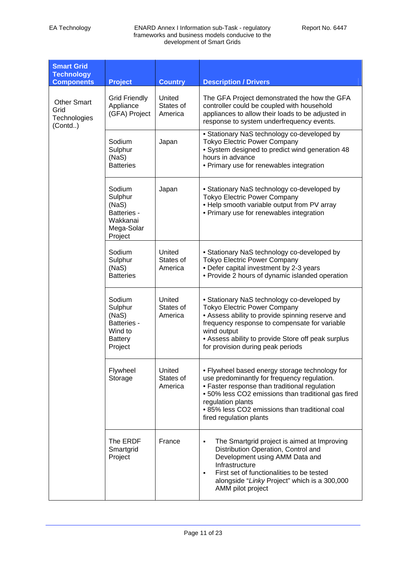| <b>Smart Grid</b><br><b>Technology</b><br><b>Components</b> | <b>Project</b>                                                                           | <b>Country</b>                 | <b>Description / Drivers</b>                                                                                                                                                                                                                                                                            |
|-------------------------------------------------------------|------------------------------------------------------------------------------------------|--------------------------------|---------------------------------------------------------------------------------------------------------------------------------------------------------------------------------------------------------------------------------------------------------------------------------------------------------|
| <b>Other Smart</b><br>Grid<br>Technologies<br>(Control.)    | <b>Grid Friendly</b><br>Appliance<br>(GFA) Project                                       | United<br>States of<br>America | The GFA Project demonstrated the how the GFA<br>controller could be coupled with household<br>appliances to allow their loads to be adjusted in<br>response to system underfrequency events.                                                                                                            |
|                                                             | Sodium<br>Sulphur<br>(NaS)<br><b>Batteries</b>                                           | Japan                          | • Stationary NaS technology co-developed by<br><b>Tokyo Electric Power Company</b><br>• System designed to predict wind generation 48<br>hours in advance<br>• Primary use for renewables integration                                                                                                   |
|                                                             | Sodium<br>Sulphur<br>(NaS)<br><b>Batteries -</b><br>Wakkanai<br>Mega-Solar<br>Project    | Japan                          | • Stationary NaS technology co-developed by<br><b>Tokyo Electric Power Company</b><br>. Help smooth variable output from PV array<br>• Primary use for renewables integration                                                                                                                           |
|                                                             | Sodium<br>Sulphur<br>(NaS)<br><b>Batteries</b>                                           | United<br>States of<br>America | • Stationary NaS technology co-developed by<br><b>Tokyo Electric Power Company</b><br>• Defer capital investment by 2-3 years<br>• Provide 2 hours of dynamic islanded operation                                                                                                                        |
|                                                             | Sodium<br>Sulphur<br>(NaS)<br><b>Batteries -</b><br>Wind to<br><b>Battery</b><br>Project | United<br>States of<br>America | • Stationary NaS technology co-developed by<br><b>Tokyo Electric Power Company</b><br>• Assess ability to provide spinning reserve and<br>frequency response to compensate for variable<br>wind output<br>• Assess ability to provide Store off peak surplus<br>for provision during peak periods       |
|                                                             | Flywheel<br>Storage                                                                      | United<br>States of<br>America | • Flywheel based energy storage technology for<br>use predominantly for frequency regulation.<br>• Faster response than traditional regulation<br>• 50% less CO2 emissions than traditional gas fired<br>regulation plants<br>• 85% less CO2 emissions than traditional coal<br>fired regulation plants |
|                                                             | The ERDF<br>Smartgrid<br>Project                                                         | France                         | The Smartgrid project is aimed at Improving<br>Distribution Operation, Control and<br>Development using AMM Data and<br>Infrastructure<br>First set of functionalities to be tested<br>٠<br>alongside "Linky Project" which is a 300,000<br>AMM pilot project                                           |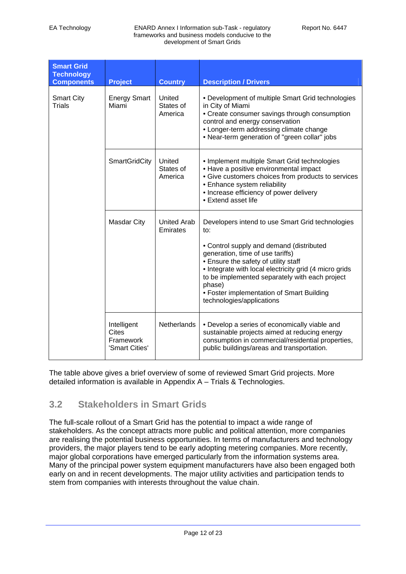| <b>Smart Grid</b><br><b>Technology</b><br><b>Components</b> | <b>Project</b>                                      | <b>Country</b>                 | <b>Description / Drivers</b>                                                                                                                                                                                                                                                                                                                                                    |
|-------------------------------------------------------------|-----------------------------------------------------|--------------------------------|---------------------------------------------------------------------------------------------------------------------------------------------------------------------------------------------------------------------------------------------------------------------------------------------------------------------------------------------------------------------------------|
| <b>Smart City</b><br><b>Trials</b>                          | <b>Energy Smart</b><br>Miami                        | United<br>States of<br>America | • Development of multiple Smart Grid technologies<br>in City of Miami<br>• Create consumer savings through consumption<br>control and energy conservation<br>• Longer-term addressing climate change<br>• Near-term generation of "green collar" jobs                                                                                                                           |
|                                                             | <b>SmartGridCity</b>                                | United<br>States of<br>America | • Implement multiple Smart Grid technologies<br>• Have a positive environmental impact<br>• Give customers choices from products to services<br>• Enhance system reliability<br>• Increase efficiency of power delivery<br>• Extend asset life                                                                                                                                  |
|                                                             | <b>Masdar City</b>                                  | <b>United Arab</b><br>Emirates | Developers intend to use Smart Grid technologies<br>to:<br>• Control supply and demand (distributed<br>generation, time of use tariffs)<br>• Ensure the safety of utility staff<br>• Integrate with local electricity grid (4 micro grids<br>to be implemented separately with each project<br>phase)<br>• Foster implementation of Smart Building<br>technologies/applications |
|                                                             | Intelligent<br>Cites<br>Framework<br>'Smart Cities' | Netherlands                    | • Develop a series of economically viable and<br>sustainable projects aimed at reducing energy<br>consumption in commercial/residential properties,<br>public buildings/areas and transportation.                                                                                                                                                                               |

The table above gives a brief overview of some of reviewed Smart Grid projects. More detailed information is available in Appendix A – Trials & Technologies.

## **3.2 Stakeholders in Smart Grids**

The full-scale rollout of a Smart Grid has the potential to impact a wide range of stakeholders. As the concept attracts more public and political attention, more companies are realising the potential business opportunities. In terms of manufacturers and technology providers, the major players tend to be early adopting metering companies. More recently, major global corporations have emerged particularly from the information systems area. Many of the principal power system equipment manufacturers have also been engaged both early on and in recent developments. The major utility activities and participation tends to stem from companies with interests throughout the value chain.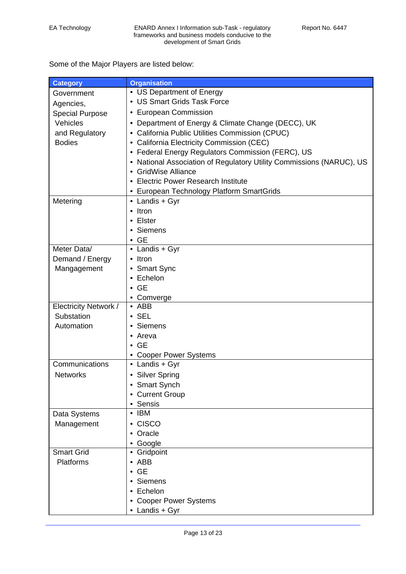Some of the Major Players are listed below:

| <b>Category</b>              | <b>Organisation</b>                                                  |  |  |
|------------------------------|----------------------------------------------------------------------|--|--|
| Government                   | • US Department of Energy                                            |  |  |
| Agencies,                    | • US Smart Grids Task Force                                          |  |  |
| <b>Special Purpose</b>       | • European Commission                                                |  |  |
| Vehicles                     | • Department of Energy & Climate Change (DECC), UK                   |  |  |
| and Regulatory               | • California Public Utilities Commission (CPUC)                      |  |  |
| <b>Bodies</b>                | • California Electricity Commission (CEC)                            |  |  |
|                              | • Federal Energy Regulators Commission (FERC), US                    |  |  |
|                              | • National Association of Regulatory Utility Commissions (NARUC), US |  |  |
|                              | • GridWise Alliance                                                  |  |  |
|                              | • Electric Power Research Institute                                  |  |  |
|                              | • European Technology Platform SmartGrids                            |  |  |
| Metering                     | • Landis + Gyr                                                       |  |  |
|                              | $\bullet$ Itron                                                      |  |  |
|                              | • Elster                                                             |  |  |
|                              | • Siemens                                                            |  |  |
|                              | $\bullet$ GE                                                         |  |  |
| Meter Data/                  | • Landis + Gyr                                                       |  |  |
| Demand / Energy              | • Itron                                                              |  |  |
| Mangagement                  | • Smart Sync                                                         |  |  |
|                              | • Echelon                                                            |  |  |
|                              | $\bullet$ GE                                                         |  |  |
|                              | • Comverge                                                           |  |  |
| <b>Electricity Network /</b> | $\bullet$ ABB                                                        |  |  |
| Substation                   | $\cdot$ SEL                                                          |  |  |
| Automation                   | • Siemens                                                            |  |  |
|                              | • Areva                                                              |  |  |
|                              | $\bullet$ GE                                                         |  |  |
|                              | • Cooper Power Systems                                               |  |  |
| Communications               | • Landis + Gyr                                                       |  |  |
| <b>Networks</b>              | • Silver Spring                                                      |  |  |
|                              | <b>Smart Synch</b>                                                   |  |  |
|                              | • Current Group                                                      |  |  |
|                              | • Sensis                                                             |  |  |
| Data Systems                 | $\bullet$ IBM                                                        |  |  |
| Management                   | • CISCO                                                              |  |  |
|                              | • Oracle                                                             |  |  |
|                              | • Google                                                             |  |  |
| <b>Smart Grid</b>            | • Gridpoint                                                          |  |  |
| Platforms                    | $\bullet$ ABB                                                        |  |  |
|                              | $\bullet$ GE                                                         |  |  |
|                              | • Siemens                                                            |  |  |
|                              | • Echelon                                                            |  |  |
|                              | • Cooper Power Systems                                               |  |  |
|                              | • Landis + Gyr                                                       |  |  |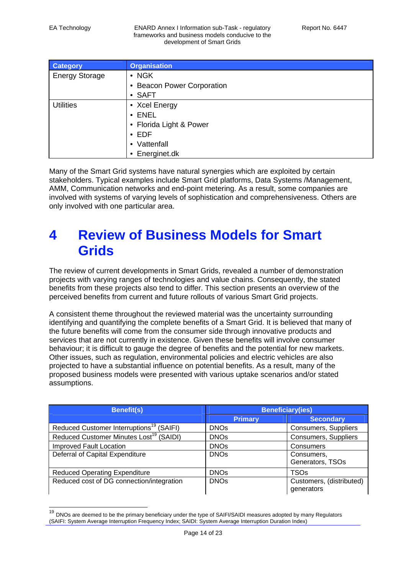$\overline{\phantom{a}}$ 

EA Technology ENARD Annex I Information sub-Task - regulatory frameworks and business models conducive to the development of Smart Grids

| <b>Category</b>       | <b>Organisation</b>        |
|-----------------------|----------------------------|
| <b>Energy Storage</b> | $\bullet$ NGK              |
|                       | • Beacon Power Corporation |
|                       | • SAFT                     |
| <b>Utilities</b>      | • Xcel Energy              |
|                       | $\cdot$ ENEL               |
|                       | • Florida Light & Power    |
|                       | $\cdot$ EDF                |
|                       | • Vattenfall               |
|                       | • Energinet.dk             |

Many of the Smart Grid systems have natural synergies which are exploited by certain stakeholders. Typical examples include Smart Grid platforms, Data Systems /Management, AMM, Communication networks and end-point metering. As a result, some companies are involved with systems of varying levels of sophistication and comprehensiveness. Others are only involved with one particular area.

## **4 Review of Business Models for Smart Grids**

The review of current developments in Smart Grids, revealed a number of demonstration projects with varying ranges of technologies and value chains. Consequently, the stated benefits from these projects also tend to differ. This section presents an overview of the perceived benefits from current and future rollouts of various Smart Grid projects.

A consistent theme throughout the reviewed material was the uncertainty surrounding identifying and quantifying the complete benefits of a Smart Grid. It is believed that many of the future benefits will come from the consumer side through innovative products and services that are not currently in existence. Given these benefits will involve consumer behaviour; it is difficult to gauge the degree of benefits and the potential for new markets. Other issues, such as regulation, environmental policies and electric vehicles are also projected to have a substantial influence on potential benefits. As a result, many of the proposed business models were presented with various uptake scenarios and/or stated assumptions.

| <b>Benefit(s)</b>                                    | <b>Beneficiary(ies)</b> |                                        |  |
|------------------------------------------------------|-------------------------|----------------------------------------|--|
|                                                      | <b>Primary</b>          | <b>Secondary</b>                       |  |
| Reduced Customer Interruptions <sup>19</sup> (SAIFI) | <b>DNOs</b>             | Consumers, Suppliers                   |  |
| Reduced Customer Minutes Lost <sup>19</sup> (SAIDI)  | <b>DNOs</b>             | Consumers, Suppliers                   |  |
| <b>Improved Fault Location</b>                       | <b>DNOs</b>             | Consumers                              |  |
| Deferral of Capital Expenditure                      | <b>DNOs</b>             | Consumers,<br>Generators, TSOs         |  |
| <b>Reduced Operating Expenditure</b>                 | <b>DNOs</b>             | <b>TSOs</b>                            |  |
| Reduced cost of DG connection/integration            | <b>DNOs</b>             | Customers, (distributed)<br>generators |  |

<sup>&</sup>lt;sup>19</sup> DNOs are deemed to be the primary beneficiary under the type of SAIFI/SAIDI measures adopted by many Regulators (SAIFI: System Average Interruption Frequency Index; SAIDI: System Average Interruption Duration Index)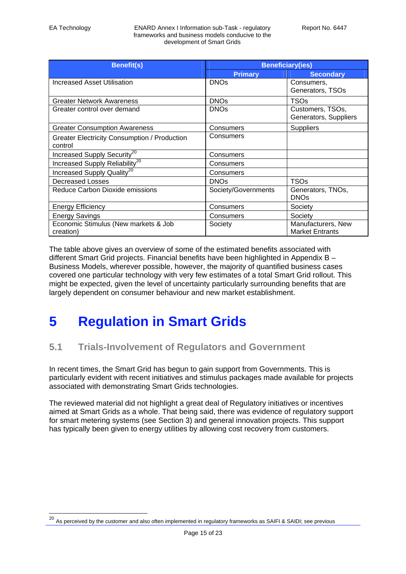| <b>Benefit(s)</b>                                              | <b>Beneficiary(ies)</b> |                                              |
|----------------------------------------------------------------|-------------------------|----------------------------------------------|
|                                                                | <b>Primary</b>          | <b>Secondary</b>                             |
| <b>Increased Asset Utilisation</b>                             | <b>DNOs</b>             | Consumers,<br>Generators, TSOs               |
| <b>Greater Network Awareness</b>                               | <b>DNOs</b>             | TSOs                                         |
| Greater control over demand                                    | <b>DNOs</b>             | Customers, TSOs,<br>Generators, Suppliers    |
| <b>Greater Consumption Awareness</b>                           | Consumers               | <b>Suppliers</b>                             |
| <b>Greater Electricity Consumption / Production</b><br>control | Consumers               |                                              |
| Increased Supply Security <sup>20</sup>                        | Consumers               |                                              |
| Increased Supply Reliability <sup>20</sup>                     | Consumers               |                                              |
| Increased Supply Quality <sup>20</sup>                         | Consumers               |                                              |
| Decreased Losses                                               | <b>DNOs</b>             | TSOs                                         |
| Reduce Carbon Dioxide emissions                                | Society/Governments     | Generators, TNOs,<br><b>DNOs</b>             |
| <b>Energy Efficiency</b>                                       | Consumers               | Society                                      |
| <b>Energy Savings</b>                                          | Consumers               | Society                                      |
| Economic Stimulus (New markets & Job<br>creation)              | Society                 | Manufacturers, New<br><b>Market Entrants</b> |

The table above gives an overview of some of the estimated benefits associated with different Smart Grid projects. Financial benefits have been highlighted in Appendix B – Business Models, wherever possible, however, the majority of quantified business cases covered one particular technology with very few estimates of a total Smart Grid rollout. This might be expected, given the level of uncertainty particularly surrounding benefits that are largely dependent on consumer behaviour and new market establishment.

## **5 Regulation in Smart Grids**

## **5.1 Trials-Involvement of Regulators and Government**

In recent times, the Smart Grid has begun to gain support from Governments. This is particularly evident with recent initiatives and stimulus packages made available for projects associated with demonstrating Smart Grids technologies.

The reviewed material did not highlight a great deal of Regulatory initiatives or incentives aimed at Smart Grids as a whole. That being said, there was evidence of regulatory support for smart metering systems (see Section 3) and general innovation projects. This support has typically been given to energy utilities by allowing cost recovery from customers.

 $^{20}$  As perceived by the customer and also often implemented in regulatory frameworks as SAIFI & SAIDI; see previous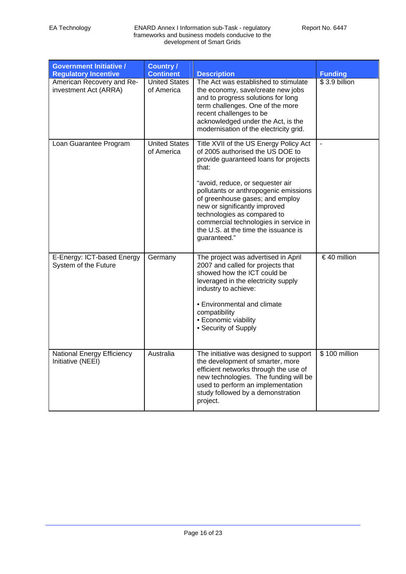| <b>Government Initiative /</b><br><b>Regulatory Incentive</b> | <b>Country /</b><br><b>Continent</b> | <b>Description</b>                                                                                                                                                                                                                                                                                                                                                                                            | <b>Funding</b> |
|---------------------------------------------------------------|--------------------------------------|---------------------------------------------------------------------------------------------------------------------------------------------------------------------------------------------------------------------------------------------------------------------------------------------------------------------------------------------------------------------------------------------------------------|----------------|
| American Recovery and Re-<br>investment Act (ARRA)            | <b>United States</b><br>of America   | The Act was established to stimulate<br>the economy, save/create new jobs<br>and to progress solutions for long<br>term challenges. One of the more<br>recent challenges to be<br>acknowledged under the Act, is the<br>modernisation of the electricity grid.                                                                                                                                                | $$3.9$ billion |
| Loan Guarantee Program                                        | <b>United States</b><br>of America   | Title XVII of the US Energy Policy Act<br>of 2005 authorised the US DOE to<br>provide guaranteed loans for projects<br>that:<br>"avoid, reduce, or sequester air<br>pollutants or anthropogenic emissions<br>of greenhouse gases; and employ<br>new or significantly improved<br>technologies as compared to<br>commercial technologies in service in<br>the U.S. at the time the issuance is<br>guaranteed." |                |
| E-Energy: ICT-based Energy<br>System of the Future            | Germany                              | The project was advertised in April<br>2007 and called for projects that<br>showed how the ICT could be<br>leveraged in the electricity supply<br>industry to achieve:<br>• Environmental and climate<br>compatibility<br>• Economic viability<br>• Security of Supply                                                                                                                                        | €40 million    |
| <b>National Energy Efficiency</b><br>Initiative (NEEI)        | Australia                            | The initiative was designed to support<br>the development of smarter, more<br>efficient networks through the use of<br>new technologies. The funding will be<br>used to perform an implementation<br>study followed by a demonstration<br>project.                                                                                                                                                            | \$100 million  |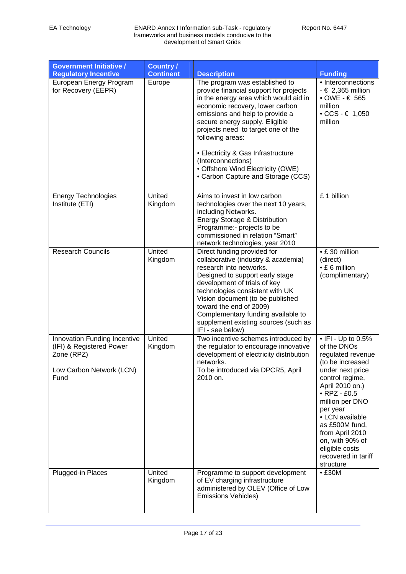| <b>Government Initiative /</b>                                                                             | <b>Country /</b>           |                                                                                                                                                                                                                                                                                                                                                                                                                                                  |                                                                                                                                                                                                                                                                                                                              |
|------------------------------------------------------------------------------------------------------------|----------------------------|--------------------------------------------------------------------------------------------------------------------------------------------------------------------------------------------------------------------------------------------------------------------------------------------------------------------------------------------------------------------------------------------------------------------------------------------------|------------------------------------------------------------------------------------------------------------------------------------------------------------------------------------------------------------------------------------------------------------------------------------------------------------------------------|
| <b>Regulatory Incentive</b><br>European Energy Program<br>for Recovery (EEPR)                              | <b>Continent</b><br>Europe | <b>Description</b><br>The program was established to<br>provide financial support for projects<br>in the energy area which would aid in<br>economic recovery, lower carbon<br>emissions and help to provide a<br>secure energy supply. Eligible<br>projects need to target one of the<br>following areas:<br>• Electricity & Gas Infrastructure<br>(Interconnections)<br>• Offshore Wind Electricity (OWE)<br>• Carbon Capture and Storage (CCS) | <b>Funding</b><br>• Interconnections<br>$-6$ 2,365 million<br>$\bullet$ OWE - $\in$ 565<br>million<br>• $CCS - \epsilon 1,050$<br>million                                                                                                                                                                                    |
| <b>Energy Technologies</b><br>Institute (ETI)                                                              | United<br>Kingdom          | Aims to invest in low carbon<br>technologies over the next 10 years,<br>including Networks.<br>Energy Storage & Distribution<br>Programme:- projects to be<br>commissioned in relation "Smart"<br>network technologies, year 2010                                                                                                                                                                                                                | £1 billion                                                                                                                                                                                                                                                                                                                   |
| <b>Research Councils</b>                                                                                   | United<br>Kingdom          | Direct funding provided for<br>collaborative (industry & academia)<br>research into networks.<br>Designed to support early stage<br>development of trials of key<br>technologies consistent with UK<br>Vision document (to be published<br>toward the end of 2009)<br>Complementary funding available to<br>supplement existing sources (such as<br>IFI - see below)                                                                             | • £30 million<br>(direct)<br>• £ 6 million<br>(complimentary)                                                                                                                                                                                                                                                                |
| Innovation Funding Incentive<br>(IFI) & Registered Power<br>Zone (RPZ)<br>Low Carbon Network (LCN)<br>Fund | United<br>Kingdom          | Two incentive schemes introduced by<br>the regulator to encourage innovative<br>development of electricity distribution<br>networks.<br>To be introduced via DPCR5, April<br>2010 on.                                                                                                                                                                                                                                                            | • IFI - Up to 0.5%<br>of the DNOs<br>regulated revenue<br>(to be increased<br>under next price<br>control regime,<br>April 2010 on.)<br>$\bullet$ RPZ - £0.5<br>million per DNO<br>per year<br>• LCN available<br>as £500M fund,<br>from April 2010<br>on, with 90% of<br>eligible costs<br>recovered in tariff<br>structure |
| Plugged-in Places                                                                                          | United<br>Kingdom          | Programme to support development<br>of EV charging infrastructure<br>administered by OLEV (Office of Low<br><b>Emissions Vehicles)</b>                                                                                                                                                                                                                                                                                                           | • E30M                                                                                                                                                                                                                                                                                                                       |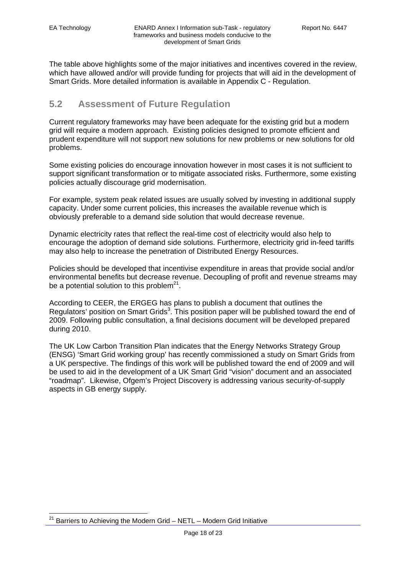The table above highlights some of the major initiatives and incentives covered in the review, which have allowed and/or will provide funding for projects that will aid in the development of Smart Grids. More detailed information is available in Appendix C - Regulation.

## **5.2 Assessment of Future Regulation**

Current regulatory frameworks may have been adequate for the existing grid but a modern grid will require a modern approach. Existing policies designed to promote efficient and prudent expenditure will not support new solutions for new problems or new solutions for old problems.

Some existing policies do encourage innovation however in most cases it is not sufficient to support significant transformation or to mitigate associated risks. Furthermore, some existing policies actually discourage grid modernisation.

For example, system peak related issues are usually solved by investing in additional supply capacity. Under some current policies, this increases the available revenue which is obviously preferable to a demand side solution that would decrease revenue.

Dynamic electricity rates that reflect the real-time cost of electricity would also help to encourage the adoption of demand side solutions. Furthermore, electricity grid in-feed tariffs may also help to increase the penetration of Distributed Energy Resources.

Policies should be developed that incentivise expenditure in areas that provide social and/or environmental benefits but decrease revenue. Decoupling of profit and revenue streams may be a potential solution to this problem<sup>21</sup>.

According to CEER, the ERGEG has plans to publish a document that outlines the Regulators' position on Smart Grids<sup>3</sup>. This position paper will be published toward the end of 2009. Following public consultation, a final decisions document will be developed prepared during 2010.

The UK Low Carbon Transition Plan indicates that the Energy Networks Strategy Group (ENSG) 'Smart Grid working group' has recently commissioned a study on Smart Grids from a UK perspective. The findings of this work will be published toward the end of 2009 and will be used to aid in the development of a UK Smart Grid "vision" document and an associated "roadmap". Likewise, Ofgem's Project Discovery is addressing various security-of-supply aspects in GB energy supply.

 Barriers to Achieving the Modern Grid – NETL – Modern Grid Initiative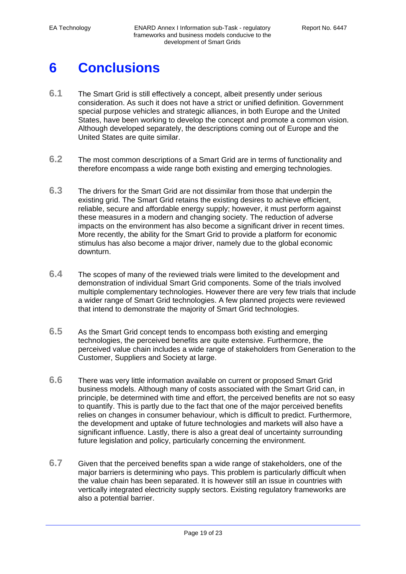# **6 Conclusions**

- **6.1** The Smart Grid is still effectively a concept, albeit presently under serious consideration. As such it does not have a strict or unified definition. Government special purpose vehicles and strategic alliances, in both Europe and the United States, have been working to develop the concept and promote a common vision. Although developed separately, the descriptions coming out of Europe and the United States are quite similar.
- **6.2** The most common descriptions of a Smart Grid are in terms of functionality and therefore encompass a wide range both existing and emerging technologies.
- **6.3** The drivers for the Smart Grid are not dissimilar from those that underpin the existing grid. The Smart Grid retains the existing desires to achieve efficient, reliable, secure and affordable energy supply; however, it must perform against these measures in a modern and changing society. The reduction of adverse impacts on the environment has also become a significant driver in recent times. More recently, the ability for the Smart Grid to provide a platform for economic stimulus has also become a major driver, namely due to the global economic downturn.
- **6.4** The scopes of many of the reviewed trials were limited to the development and demonstration of individual Smart Grid components. Some of the trials involved multiple complementary technologies. However there are very few trials that include a wider range of Smart Grid technologies. A few planned projects were reviewed that intend to demonstrate the majority of Smart Grid technologies.
- **6.5** As the Smart Grid concept tends to encompass both existing and emerging technologies, the perceived benefits are quite extensive. Furthermore, the perceived value chain includes a wide range of stakeholders from Generation to the Customer, Suppliers and Society at large.
- **6.6** There was very little information available on current or proposed Smart Grid business models. Although many of costs associated with the Smart Grid can, in principle, be determined with time and effort, the perceived benefits are not so easy to quantify. This is partly due to the fact that one of the major perceived benefits relies on changes in consumer behaviour, which is difficult to predict. Furthermore, the development and uptake of future technologies and markets will also have a significant influence. Lastly, there is also a great deal of uncertainty surrounding future legislation and policy, particularly concerning the environment.
- **6.7** Given that the perceived benefits span a wide range of stakeholders, one of the major barriers is determining who pays. This problem is particularly difficult when the value chain has been separated. It is however still an issue in countries with vertically integrated electricity supply sectors. Existing regulatory frameworks are also a potential barrier.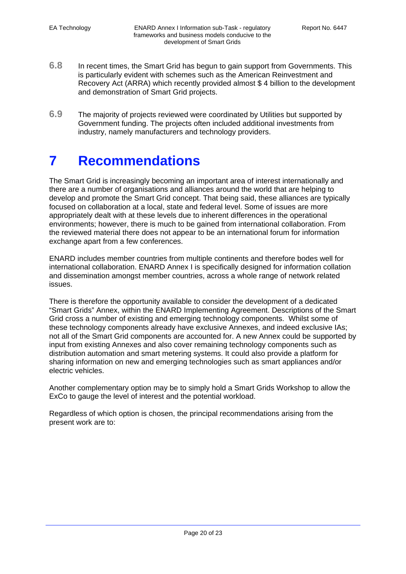- **6.8** In recent times, the Smart Grid has begun to gain support from Governments. This is particularly evident with schemes such as the American Reinvestment and Recovery Act (ARRA) which recently provided almost \$ 4 billion to the development and demonstration of Smart Grid projects.
- **6.9** The majority of projects reviewed were coordinated by Utilities but supported by Government funding. The projects often included additional investments from industry, namely manufacturers and technology providers.

## **7 Recommendations**

The Smart Grid is increasingly becoming an important area of interest internationally and there are a number of organisations and alliances around the world that are helping to develop and promote the Smart Grid concept. That being said, these alliances are typically focused on collaboration at a local, state and federal level. Some of issues are more appropriately dealt with at these levels due to inherent differences in the operational environments; however, there is much to be gained from international collaboration. From the reviewed material there does not appear to be an international forum for information exchange apart from a few conferences.

ENARD includes member countries from multiple continents and therefore bodes well for international collaboration. ENARD Annex I is specifically designed for information collation and dissemination amongst member countries, across a whole range of network related issues.

There is therefore the opportunity available to consider the development of a dedicated "Smart Grids" Annex, within the ENARD Implementing Agreement. Descriptions of the Smart Grid cross a number of existing and emerging technology components. Whilst some of these technology components already have exclusive Annexes, and indeed exclusive IAs; not all of the Smart Grid components are accounted for. A new Annex could be supported by input from existing Annexes and also cover remaining technology components such as distribution automation and smart metering systems. It could also provide a platform for sharing information on new and emerging technologies such as smart appliances and/or electric vehicles.

Another complementary option may be to simply hold a Smart Grids Workshop to allow the ExCo to gauge the level of interest and the potential workload.

Regardless of which option is chosen, the principal recommendations arising from the present work are to: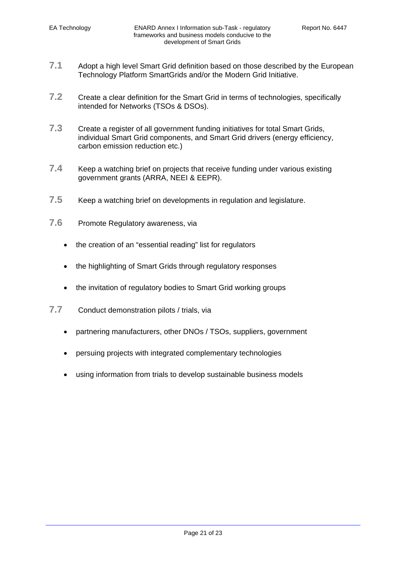- **7.1** Adopt a high level Smart Grid definition based on those described by the European Technology Platform SmartGrids and/or the Modern Grid Initiative.
- **7.2** Create a clear definition for the Smart Grid in terms of technologies, specifically intended for Networks (TSOs & DSOs).
- **7.3** Create a register of all government funding initiatives for total Smart Grids, individual Smart Grid components, and Smart Grid drivers (energy efficiency, carbon emission reduction etc.)
- **7.4** Keep a watching brief on projects that receive funding under various existing government grants (ARRA, NEEI & EEPR).
- **7.5** Keep a watching brief on developments in regulation and legislature.
- **7.6** Promote Regulatory awareness, via
	- the creation of an "essential reading" list for regulators
	- the highlighting of Smart Grids through regulatory responses
	- the invitation of regulatory bodies to Smart Grid working groups
- **7.7** Conduct demonstration pilots / trials, via
	- partnering manufacturers, other DNOs / TSOs, suppliers, government
	- persuing projects with integrated complementary technologies
	- using information from trials to develop sustainable business models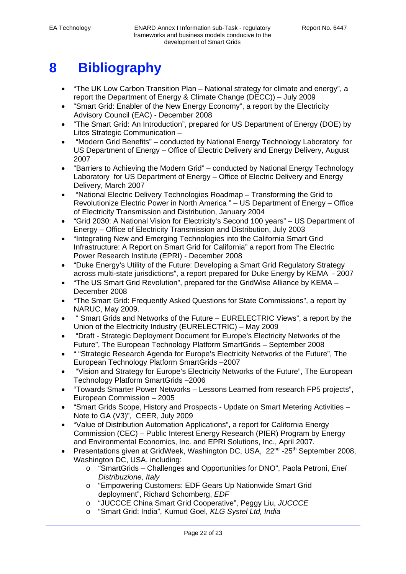# **8 Bibliography**

- "The UK Low Carbon Transition Plan National strategy for climate and energy", a report the Department of Energy & Climate Change (DECC)) – July 2009
- "Smart Grid: Enabler of the New Energy Economy", a report by the Electricity Advisory Council (EAC) - December 2008
- "The Smart Grid: An Introduction", prepared for US Department of Energy (DOE) by Litos Strategic Communication –
- "Modern Grid Benefits" conducted by National Energy Technology Laboratory for US Department of Energy – Office of Electric Delivery and Energy Delivery, August 2007
- "Barriers to Achieving the Modern Grid" conducted by National Energy Technology Laboratory for US Department of Energy – Office of Electric Delivery and Energy Delivery, March 2007
- "National Electric Delivery Technologies Roadmap Transforming the Grid to Revolutionize Electric Power in North America " – US Department of Energy – Office of Electricity Transmission and Distribution, January 2004
- "Grid 2030: A National Vision for Electricity's Second 100 years" US Department of Energy – Office of Electricity Transmission and Distribution, July 2003
- "Integrating New and Emerging Technologies into the California Smart Grid Infrastructure: A Report on Smart Grid for California" a report from The Electric Power Research Institute (EPRI) - December 2008
- "Duke Energy's Utility of the Future: Developing a Smart Grid Regulatory Strategy across multi-state jurisdictions", a report prepared for Duke Energy by KEMA - 2007
- "The US Smart Grid Revolution", prepared for the GridWise Alliance by KEMA December 2008
- "The Smart Grid: Frequently Asked Questions for State Commissions", a report by NARUC, May 2009.
- " Smart Grids and Networks of the Future EURELECTRIC Views", a report by the Union of the Electricity Industry (EURELECTRIC) – May 2009
- "Draft Strategic Deployment Document for Europe's Electricity Networks of the Future", The European Technology Platform SmartGrids – September 2008
- " "Strategic Research Agenda for Europe's Electricity Networks of the Future", The European Technology Platform SmartGrids –2007
- "Vision and Strategy for Europe's Electricity Networks of the Future", The European Technology Platform SmartGrids –2006
- "Towards Smarter Power Networks Lessons Learned from research FP5 projects", European Commission – 2005
- "Smart Grids Scope, History and Prospects Update on Smart Metering Activities Note to GA (V3)", CEER, July 2009
- "Value of Distribution Automation Applications", a report for California Energy Commission (CEC) – Public Interest Energy Research (PIER) Program by Energy and Environmental Economics, Inc. and EPRI Solutions, Inc., April 2007.
- Presentations given at GridWeek, Washington DC, USA, 22<sup>nd</sup> -25<sup>th</sup> September 2008, Washington DC, USA, including:
	- o "SmartGrids Challenges and Opportunities for DNO", Paola Petroni, *Enel Distribuzione, Italy*
	- o "Empowering Customers: EDF Gears Up Nationwide Smart Grid deployment", Richard Schomberg, *EDF*
	- o "JUCCCE China Smart Grid Cooperative", Peggy Liu, *JUCCCE*
	- o "Smart Grid: India", Kumud Goel, *KLG Systel Ltd, India*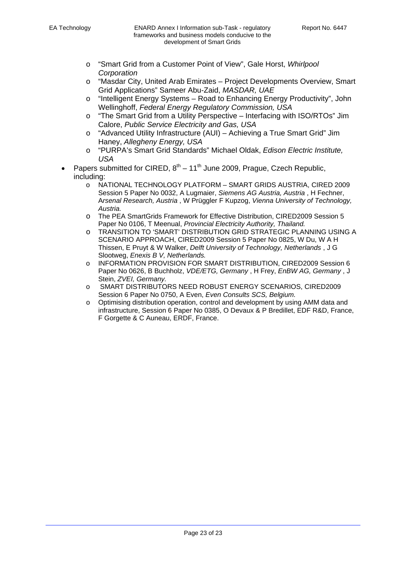- o "Smart Grid from a Customer Point of View", Gale Horst, *Whirlpool Corporation*
- o "Masdar City, United Arab Emirates Project Developments Overview, Smart Grid Applications" Sameer Abu-Zaid, *MASDAR, UAE*
- o "Intelligent Energy Systems Road to Enhancing Energy Productivity", John Wellinghoff, *Federal Energy Regulatory Commission, USA*
- o "The Smart Grid from a Utility Perspective Interfacing with ISO/RTOs" Jim Calore, *Public Service Electricity and Gas, USA*
- o "Advanced Utility Infrastructure (AUI) Achieving a True Smart Grid" Jim Haney, *Allegheny Energy, USA*
- o "PURPA's Smart Grid Standards" Michael Oldak, *Edison Electric Institute, USA*
- Papers submitted for CIRED,  $8^{th} 11^{th}$  June 2009, Prague, Czech Republic, including:
	- o NATIONAL TECHNOLOGY PLATFORM SMART GRIDS AUSTRIA, CIRED 2009 Session 5 Paper No 0032, A Lugmaier, *Siemens AG Austria, Austria* , H Fechner, A*rsenal Research, Austria* , W Prüggler F Kupzog, *Vienna University of Technology, Austria.*
	- o The PEA SmartGrids Framework for Effective Distribution, CIRED2009 Session 5 Paper No 0106, T Meenual, *Provincial Electricity Authority, Thailand.*
	- o TRANSITION TO 'SMART' DISTRIBUTION GRID STRATEGIC PLANNING USING A SCENARIO APPROACH, CIRED2009 Session 5 Paper No 0825, W Du, W A H Thissen, E Pruyt & W Walker, *Delft University of Technology, Netherlands* , J G Slootweg, *Enexis B V, Netherlands.*
	- o INFORMATION PROVISION FOR SMART DISTRIBUTION, CIRED2009 Session 6 Paper No 0626, B Buchholz, *VDE/ETG, Germany* , H Frey, *EnBW AG, Germany* , J Stein, *ZVEI, Germany.*
	- o SMART DISTRIBUTORS NEED ROBUST ENERGY SCENARIOS, CIRED2009 Session 6 Paper No 0750, A Even, *Even Consults SCS, Belgium.*
	- o Optimising distribution operation, control and development by using AMM data and infrastructure, Session 6 Paper No 0385, O Devaux & P Bredillet, EDF R&D, France, F Gorgette & C Auneau, ERDF, France.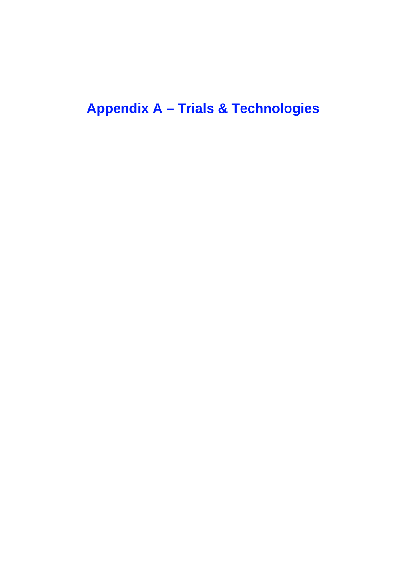# **Appendix A – Trials & Technologies**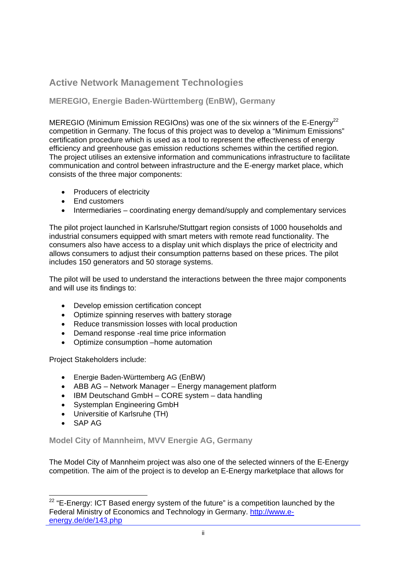## **Active Network Management Technologies**

## **MEREGIO, Energie Baden-Württemberg (EnBW), Germany**

MEREGIO (Minimum Emission REGIOns) was one of the six winners of the E-Energy<sup>22</sup> competition in Germany. The focus of this project was to develop a "Minimum Emissions" certification procedure which is used as a tool to represent the effectiveness of energy efficiency and greenhouse gas emission reductions schemes within the certified region. The project utilises an extensive information and communications infrastructure to facilitate communication and control between infrastructure and the E-energy market place, which consists of the three major components:

- Producers of electricity
- Fnd customers
- Intermediaries coordinating energy demand/supply and complementary services

The pilot project launched in Karlsruhe/Stuttgart region consists of 1000 households and industrial consumers equipped with smart meters with remote read functionality. The consumers also have access to a display unit which displays the price of electricity and allows consumers to adjust their consumption patterns based on these prices. The pilot includes 150 generators and 50 storage systems.

The pilot will be used to understand the interactions between the three major components and will use its findings to:

- Develop emission certification concept
- Optimize spinning reserves with battery storage
- Reduce transmission losses with local production
- Demand response -real time price information
- Optimize consumption –home automation

Project Stakeholders include:

- Energie Baden-Württemberg AG (EnBW)
- ABB AG Network Manager Energy management platform
- IBM Deutschand GmbH CORE system data handling
- Systemplan Engineering GmbH
- Universitie of Karlsruhe (TH)
- SAP AG

**Model City of Mannheim, MVV Energie AG, Germany** 

The Model City of Mannheim project was also one of the selected winners of the E-Energy competition. The aim of the project is to develop an E-Energy marketplace that allows for

  $22$  "E-Energy: ICT Based energy system of the future" is a competition launched by the Federal Ministry of Economics and Technology in Germany. http://www.eenergy.de/de/143.php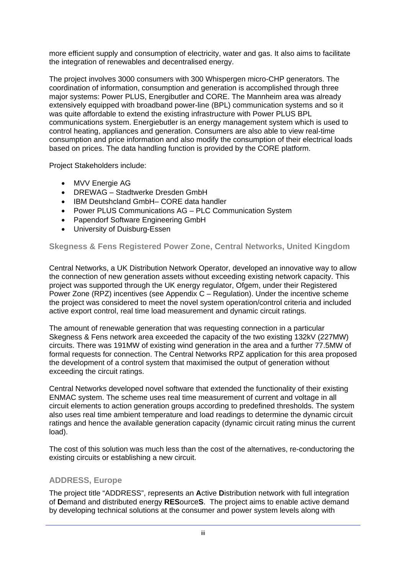more efficient supply and consumption of electricity, water and gas. It also aims to facilitate the integration of renewables and decentralised energy.

The project involves 3000 consumers with 300 Whispergen micro-CHP generators. The coordination of information, consumption and generation is accomplished through three major systems: Power PLUS, Energibutler and CORE. The Mannheim area was already extensively equipped with broadband power-line (BPL) communication systems and so it was quite affordable to extend the existing infrastructure with Power PLUS BPL communications system. Energiebutler is an energy management system which is used to control heating, appliances and generation. Consumers are also able to view real-time consumption and price information and also modify the consumption of their electrical loads based on prices. The data handling function is provided by the CORE platform.

Project Stakeholders include:

- MVV Energie AG
- DREWAG Stadtwerke Dresden GmbH
- IBM Deutshcland GmbH– CORE data handler
- Power PLUS Communications AG PLC Communication System
- Papendorf Software Engineering GmbH
- University of Duisburg-Essen

## **Skegness & Fens Registered Power Zone, Central Networks, United Kingdom**

Central Networks, a UK Distribution Network Operator, developed an innovative way to allow the connection of new generation assets without exceeding existing network capacity. This project was supported through the UK energy regulator, Ofgem, under their Registered Power Zone (RPZ) incentives (see Appendix C – Regulation). Under the incentive scheme the project was considered to meet the novel system operation/control criteria and included active export control, real time load measurement and dynamic circuit ratings.

The amount of renewable generation that was requesting connection in a particular Skegness & Fens network area exceeded the capacity of the two existing 132kV (227MW) circuits. There was 191MW of existing wind generation in the area and a further 77.5MW of formal requests for connection. The Central Networks RPZ application for this area proposed the development of a control system that maximised the output of generation without exceeding the circuit ratings.

Central Networks developed novel software that extended the functionality of their existing ENMAC system. The scheme uses real time measurement of current and voltage in all circuit elements to action generation groups according to predefined thresholds. The system also uses real time ambient temperature and load readings to determine the dynamic circuit ratings and hence the available generation capacity (dynamic circuit rating minus the current load).

The cost of this solution was much less than the cost of the alternatives, re-conductoring the existing circuits or establishing a new circuit.

### **ADDRESS, Europe**

The project title "ADDRESS", represents an **A**ctive **D**istribution network with full integration of **D**emand and distributed energy **RES**ource**S**. The project aims to enable active demand by developing technical solutions at the consumer and power system levels along with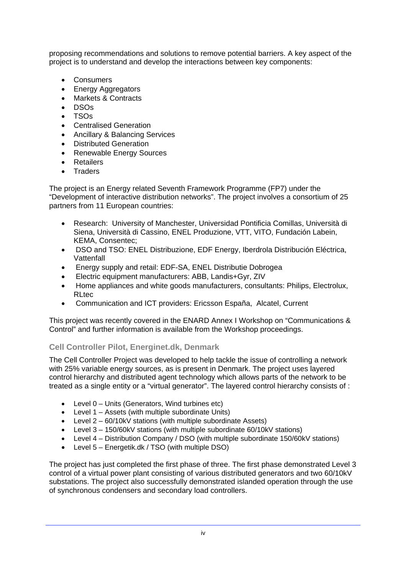proposing recommendations and solutions to remove potential barriers. A key aspect of the project is to understand and develop the interactions between key components:

- **Consumers**
- Energy Aggregators
- Markets & Contracts
- DSOs
- TSOs
- Centralised Generation
- Ancillary & Balancing Services
- Distributed Generation
- Renewable Energy Sources
- Retailers
- Traders

The project is an Energy related Seventh Framework Programme (FP7) under the "Development of interactive distribution networks". The project involves a consortium of 25 partners from 11 European countries:

- Research: University of Manchester, Universidad Pontificia Comillas, Università di Siena, Università di Cassino, ENEL Produzione, VTT, VITO, Fundación Labein, KEMA, Consentec;
- DSO and TSO: ENEL Distribuzione, EDF Energy, Iberdrola Distribución Eléctrica, Vattenfall
- Energy supply and retail: EDF-SA, ENEL Distributie Dobrogea
- Electric equipment manufacturers: ABB, Landis+Gyr, ZIV
- Home appliances and white goods manufacturers, consultants: Philips, Electrolux, RLtec
- Communication and ICT providers: Ericsson España, Alcatel, Current

This project was recently covered in the ENARD Annex I Workshop on "Communications & Control" and further information is available from the Workshop proceedings.

## **Cell Controller Pilot, Energinet.dk, Denmark**

The Cell Controller Project was developed to help tackle the issue of controlling a network with 25% variable energy sources, as is present in Denmark. The project uses layered control hierarchy and distributed agent technology which allows parts of the network to be treated as a single entity or a "virtual generator". The layered control hierarchy consists of :

- Level 0 Units (Generators, Wind turbines etc)
- Level 1 Assets (with multiple subordinate Units)
- Level 2 60/10kV stations (with multiple subordinate Assets)
- Level 3 150/60kV stations (with multiple subordinate 60/10kV stations)
- Level 4 Distribution Company / DSO (with multiple subordinate 150/60kV stations)
- Level 5 Energetik.dk / TSO (with multiple DSO)

The project has just completed the first phase of three. The first phase demonstrated Level 3 control of a virtual power plant consisting of various distributed generators and two 60/10kV substations. The project also successfully demonstrated islanded operation through the use of synchronous condensers and secondary load controllers.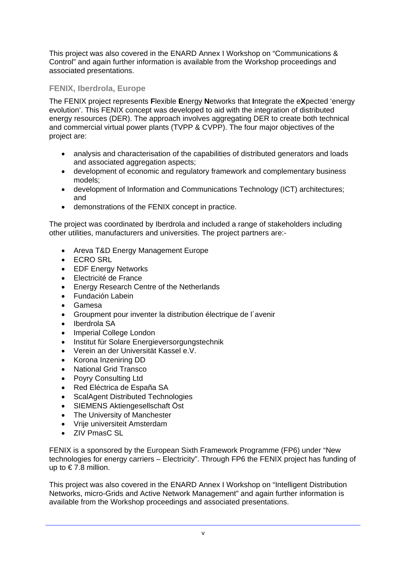This project was also covered in the ENARD Annex I Workshop on "Communications & Control" and again further information is available from the Workshop proceedings and associated presentations.

## **FENIX, Iberdrola, Europe**

The FENIX project represents **F**lexible **E**nergy **N**etworks that **I**ntegrate the e**X**pected 'energy evolution'. This FENIX concept was developed to aid with the integration of distributed energy resources (DER). The approach involves aggregating DER to create both technical and commercial virtual power plants (TVPP & CVPP). The four major objectives of the project are:

- analysis and characterisation of the capabilities of distributed generators and loads and associated aggregation aspects;
- development of economic and regulatory framework and complementary business models;
- development of Information and Communications Technology (ICT) architectures; and
- demonstrations of the FENIX concept in practice.

The project was coordinated by Iberdrola and included a range of stakeholders including other utilities, manufacturers and universities. The project partners are:-

- Areva T&D Energy Management Europe
- $\cdot$  FCRO SRL
- EDF Energy Networks
- Electricité de France
- Energy Research Centre of the Netherlands
- Fundación Labein
- Gamesa
- Groupment pour inventer la distribution électrique de l´avenir
- Iberdrola SA
- Imperial College London
- Institut für Solare Energieversorgungstechnik
- Verein an der Universität Kassel e.V.
- Korona Inzeniring DD
- National Grid Transco
- Povry Consulting Ltd
- Red Eléctrica de España SA
- ScalAgent Distributed Technologies
- SIEMENS Aktiengesellschaft Öst
- The University of Manchester
- Vrije universiteit Amsterdam
- ZIV PmasC SL

FENIX is a sponsored by the European Sixth Framework Programme (FP6) under "New technologies for energy carriers – Electricity". Through FP6 the FENIX project has funding of up to  $\in 7.8$  million.

This project was also covered in the ENARD Annex I Workshop on "Intelligent Distribution Networks, micro-Grids and Active Network Management" and again further information is available from the Workshop proceedings and associated presentations.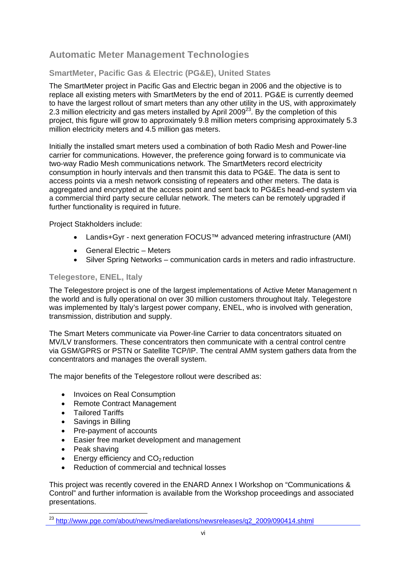## **Automatic Meter Management Technologies**

## **SmartMeter, Pacific Gas & Electric (PG&E), United States**

The SmartMeter project in Pacific Gas and Electric began in 2006 and the objective is to replace all existing meters with SmartMeters by the end of 2011. PG&E is currently deemed to have the largest rollout of smart meters than any other utility in the US, with approximately 2.3 million electricity and gas meters installed by April 2009 $^{23}$ . By the completion of this project, this figure will grow to approximately 9.8 million meters comprising approximately 5.3 million electricity meters and 4.5 million gas meters.

Initially the installed smart meters used a combination of both Radio Mesh and Power-line carrier for communications. However, the preference going forward is to communicate via two-way Radio Mesh communications network. The SmartMeters record electricity consumption in hourly intervals and then transmit this data to PG&E. The data is sent to access points via a mesh network consisting of repeaters and other meters. The data is aggregated and encrypted at the access point and sent back to PG&Es head-end system via a commercial third party secure cellular network. The meters can be remotely upgraded if further functionality is required in future.

Project Stakholders include:

- Landis+Gyr next generation FOCUS™ advanced metering infrastructure (AMI)
- General Electric Meters
- Silver Spring Networks communication cards in meters and radio infrastructure.

## **Telegestore, ENEL, Italy**

The Telegestore project is one of the largest implementations of Active Meter Management n the world and is fully operational on over 30 million customers throughout Italy. Telegestore was implemented by Italy's largest power company, ENEL, who is involved with generation, transmission, distribution and supply.

The Smart Meters communicate via Power-line Carrier to data concentrators situated on MV/LV transformers. These concentrators then communicate with a central control centre via GSM/GPRS or PSTN or Satellite TCP/IP. The central AMM system gathers data from the concentrators and manages the overall system.

The major benefits of the Telegestore rollout were described as:

- Invoices on Real Consumption
- Remote Contract Management
- Tailored Tariffs
- Savings in Billing
- Pre-payment of accounts
- Easier free market development and management
- Peak shaving

- **Energy efficiency and**  $CO<sub>2</sub>$  **reduction**
- Reduction of commercial and technical losses

This project was recently covered in the ENARD Annex I Workshop on "Communications & Control" and further information is available from the Workshop proceedings and associated presentations.

<sup>&</sup>lt;sup>23</sup> http://www.pge.com/about/news/mediarelations/newsreleases/q2\_2009/090414.shtml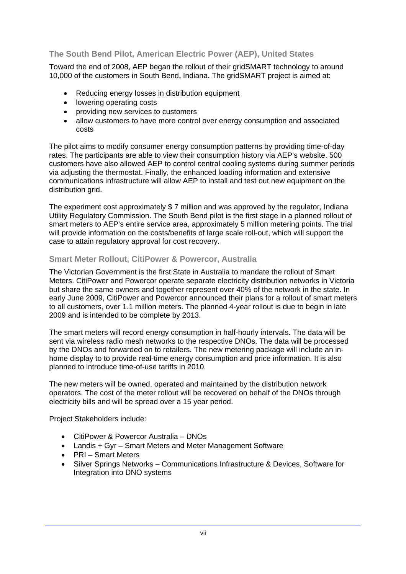## **The South Bend Pilot, American Electric Power (AEP), United States**

Toward the end of 2008, AEP began the rollout of their gridSMART technology to around 10,000 of the customers in South Bend, Indiana. The gridSMART project is aimed at:

- Reducing energy losses in distribution equipment
- lowering operating costs
- providing new services to customers
- allow customers to have more control over energy consumption and associated costs

The pilot aims to modify consumer energy consumption patterns by providing time-of-day rates. The participants are able to view their consumption history via AEP's website. 500 customers have also allowed AEP to control central cooling systems during summer periods via adjusting the thermostat. Finally, the enhanced loading information and extensive communications infrastructure will allow AEP to install and test out new equipment on the distribution arid.

The experiment cost approximately \$ 7 million and was approved by the regulator, Indiana Utility Regulatory Commission. The South Bend pilot is the first stage in a planned rollout of smart meters to AEP's entire service area, approximately 5 million metering points. The trial will provide information on the costs/benefits of large scale roll-out, which will support the case to attain regulatory approval for cost recovery.

## **Smart Meter Rollout, CitiPower & Powercor, Australia**

The Victorian Government is the first State in Australia to mandate the rollout of Smart Meters. CitiPower and Powercor operate separate electricity distribution networks in Victoria but share the same owners and together represent over 40% of the network in the state. In early June 2009, CitiPower and Powercor announced their plans for a rollout of smart meters to all customers, over 1.1 million meters. The planned 4-year rollout is due to begin in late 2009 and is intended to be complete by 2013.

The smart meters will record energy consumption in half-hourly intervals. The data will be sent via wireless radio mesh networks to the respective DNOs. The data will be processed by the DNOs and forwarded on to retailers. The new metering package will include an inhome display to to provide real-time energy consumption and price information. It is also planned to introduce time-of-use tariffs in 2010.

The new meters will be owned, operated and maintained by the distribution network operators. The cost of the meter rollout will be recovered on behalf of the DNOs through electricity bills and will be spread over a 15 year period.

Project Stakeholders include:

- CitiPower & Powercor Australia DNOs
- Landis + Gyr Smart Meters and Meter Management Software
- PRI Smart Meters
- Silver Springs Networks Communications Infrastructure & Devices, Software for Integration into DNO systems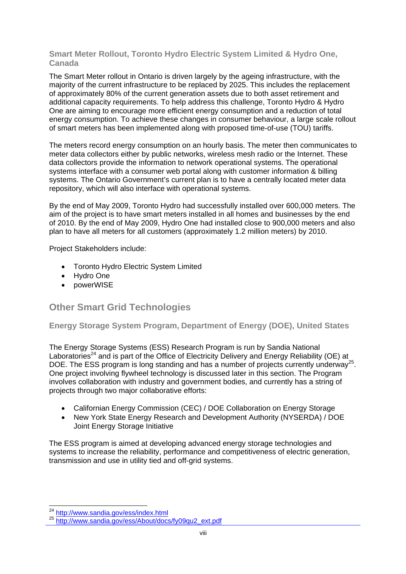## **Smart Meter Rollout, Toronto Hydro Electric System Limited & Hydro One, Canada**

The Smart Meter rollout in Ontario is driven largely by the ageing infrastructure, with the majority of the current infrastructure to be replaced by 2025. This includes the replacement of approximately 80% of the current generation assets due to both asset retirement and additional capacity requirements. To help address this challenge, Toronto Hydro & Hydro One are aiming to encourage more efficient energy consumption and a reduction of total energy consumption. To achieve these changes in consumer behaviour, a large scale rollout of smart meters has been implemented along with proposed time-of-use (TOU) tariffs.

The meters record energy consumption on an hourly basis. The meter then communicates to meter data collectors either by public networks, wireless mesh radio or the Internet. These data collectors provide the information to network operational systems. The operational systems interface with a consumer web portal along with customer information & billing systems. The Ontario Government's current plan is to have a centrally located meter data repository, which will also interface with operational systems.

By the end of May 2009, Toronto Hydro had successfully installed over 600,000 meters. The aim of the project is to have smart meters installed in all homes and businesses by the end of 2010. By the end of May 2009, Hydro One had installed close to 900,000 meters and also plan to have all meters for all customers (approximately 1.2 million meters) by 2010.

Project Stakeholders include:

- Toronto Hydro Electric System Limited
- Hydro One
- powerWISE

## **Other Smart Grid Technologies**

**Energy Storage System Program, Department of Energy (DOE), United States** 

The Energy Storage Systems (ESS) Research Program is run by Sandia National Laboratories<sup>24</sup> and is part of the Office of Electricity Delivery and Energy Reliability (OE) at DOE. The ESS program is long standing and has a number of projects currently underway<sup>25</sup>. One project involving flywheel technology is discussed later in this section. The Program involves collaboration with industry and government bodies, and currently has a string of projects through two major collaborative efforts:

- Californian Energy Commission (CEC) / DOE Collaboration on Energy Storage
- New York State Energy Research and Development Authority (NYSERDA) / DOE Joint Energy Storage Initiative

The ESS program is aimed at developing advanced energy storage technologies and systems to increase the reliability, performance and competitiveness of electric generation, transmission and use in utility tied and off-grid systems.

<sup>&</sup>lt;sup>24</sup> http://www.sandia.gov/ess/index.html

<sup>25</sup> http://www.sandia.gov/ess/About/docs/fy09qu2\_ext.pdf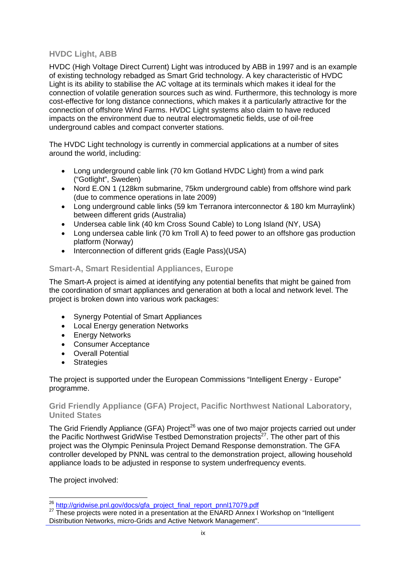## **HVDC Light, ABB**

HVDC (High Voltage Direct Current) Light was introduced by ABB in 1997 and is an example of existing technology rebadged as Smart Grid technology. A key characteristic of HVDC Light is its ability to stabilise the AC voltage at its terminals which makes it ideal for the connection of volatile generation sources such as wind. Furthermore, this technology is more cost-effective for long distance connections, which makes it a particularly attractive for the connection of offshore Wind Farms. HVDC Light systems also claim to have reduced impacts on the environment due to neutral electromagnetic fields, use of oil-free underground cables and compact converter stations.

The HVDC Light technology is currently in commercial applications at a number of sites around the world, including:

- Long underground cable link (70 km Gotland HVDC Light) from a wind park ("Gotlight", Sweden)
- Nord E.ON 1 (128km submarine, 75km underground cable) from offshore wind park (due to commence operations in late 2009)
- Long underground cable links (59 km Terranora interconnector & 180 km Murraylink) between different grids (Australia)
- Undersea cable link (40 km Cross Sound Cable) to Long Island (NY, USA)
- Long undersea cable link (70 km Troll A) to feed power to an offshore gas production platform (Norway)
- Interconnection of different grids (Eagle Pass)(USA)

## **Smart-A, Smart Residential Appliances, Europe**

The Smart-A project is aimed at identifying any potential benefits that might be gained from the coordination of smart appliances and generation at both a local and network level. The project is broken down into various work packages:

- Synergy Potential of Smart Appliances
- Local Energy generation Networks
- Energy Networks
- Consumer Acceptance
- Overall Potential
- Strategies

The project is supported under the European Commissions "Intelligent Energy - Europe" programme.

### **Grid Friendly Appliance (GFA) Project, Pacific Northwest National Laboratory, United States**

The Grid Friendly Appliance (GFA) Project<sup>26</sup> was one of two major projects carried out under the Pacific Northwest GridWise Testbed Demonstration projects $^{27}$ . The other part of this project was the Olympic Peninsula Project Demand Response demonstration. The GFA controller developed by PNNL was central to the demonstration project, allowing household appliance loads to be adjusted in response to system underfrequency events.

The project involved:

<sup>&</sup>lt;sup>26</sup> http://gridwise.pnl.gov/docs/gfa\_project\_final\_report\_pnnl17079.pdf

<sup>&</sup>lt;sup>27</sup> These projects were noted in a presentation at the ENARD Annex I Workshop on "Intelligent" Distribution Networks, micro-Grids and Active Network Management".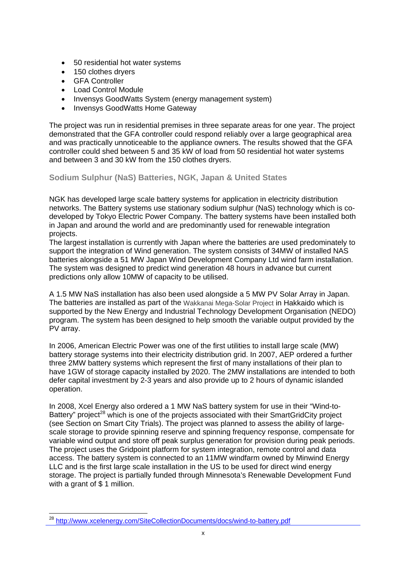- 50 residential hot water systems
- 150 clothes drvers
- GFA Controller
- Load Control Module
- Invensys GoodWatts System (energy management system)
- Invensys GoodWatts Home Gateway

The project was run in residential premises in three separate areas for one year. The project demonstrated that the GFA controller could respond reliably over a large geographical area and was practically unnoticeable to the appliance owners. The results showed that the GFA controller could shed between 5 and 35 kW of load from 50 residential hot water systems and between 3 and 30 kW from the 150 clothes dryers.

## **Sodium Sulphur (NaS) Batteries, NGK, Japan & United States**

NGK has developed large scale battery systems for application in electricity distribution networks. The Battery systems use stationary sodium sulphur (NaS) technology which is codeveloped by Tokyo Electric Power Company. The battery systems have been installed both in Japan and around the world and are predominantly used for renewable integration projects.

The largest installation is currently with Japan where the batteries are used predominately to support the integration of Wind generation. The system consists of 34MW of installed NAS batteries alongside a 51 MW Japan Wind Development Company Ltd wind farm installation. The system was designed to predict wind generation 48 hours in advance but current predictions only allow 10MW of capacity to be utilised.

A 1.5 MW NaS installation has also been used alongside a 5 MW PV Solar Array in Japan. The batteries are installed as part of the Wakkanai Mega-Solar Project in Hakkaido which is supported by the New Energy and Industrial Technology Development Organisation (NEDO) program. The system has been designed to help smooth the variable output provided by the PV array.

In 2006, American Electric Power was one of the first utilities to install large scale (MW) battery storage systems into their electricity distribution grid. In 2007, AEP ordered a further three 2MW battery systems which represent the first of many installations of their plan to have 1GW of storage capacity installed by 2020. The 2MW installations are intended to both defer capital investment by 2-3 years and also provide up to 2 hours of dynamic islanded operation.

In 2008, Xcel Energy also ordered a 1 MW NaS battery system for use in their "Wind-to-Battery" project<sup>28</sup> which is one of the projects associated with their SmartGridCity project (see Section on Smart City Trials). The project was planned to assess the ability of largescale storage to provide spinning reserve and spinning frequency response, compensate for variable wind output and store off peak surplus generation for provision during peak periods. The project uses the Gridpoint platform for system integration, remote control and data access. The battery system is connected to an 11MW windfarm owned by Minwind Energy LLC and is the first large scale installation in the US to be used for direct wind energy storage. The project is partially funded through Minnesota's Renewable Development Fund with a grant of \$1 million.

 <sup>28</sup> http://www.xcelenergy.com/SiteCollectionDocuments/docs/wind-to-battery.pdf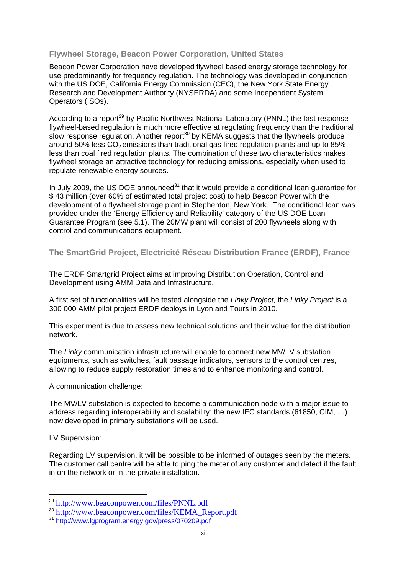### **Flywheel Storage, Beacon Power Corporation, United States**

Beacon Power Corporation have developed flywheel based energy storage technology for use predominantly for frequency regulation. The technology was developed in conjunction with the US DOE, California Energy Commission (CEC), the New York State Energy Research and Development Authority (NYSERDA) and some Independent System Operators (ISOs).

According to a report<sup>29</sup> by Pacific Northwest National Laboratory (PNNL) the fast response flywheel-based regulation is much more effective at regulating frequency than the traditional slow response regulation. Another report<sup>30</sup> by KEMA suggests that the flywheels produce around 50% less  $CO<sub>2</sub>$  emissions than traditional gas fired regulation plants and up to 85% less than coal fired regulation plants. The combination of these two characteristics makes flywheel storage an attractive technology for reducing emissions, especially when used to regulate renewable energy sources.

In July 2009, the US DOE announced $31$  that it would provide a conditional loan guarantee for \$ 43 million (over 60% of estimated total project cost) to help Beacon Power with the development of a flywheel storage plant in Stephenton, New York. The conditional loan was provided under the 'Energy Efficiency and Reliability' category of the US DOE Loan Guarantee Program (see 5.1). The 20MW plant will consist of 200 flywheels along with control and communications equipment.

**The SmartGrid Project, Electricité Réseau Distribution France (ERDF), France** 

The ERDF Smartgrid Project aims at improving Distribution Operation, Control and Development using AMM Data and Infrastructure.

A first set of functionalities will be tested alongside the *Linky Project;* the *Linky Project* is a 300 000 AMM pilot project ERDF deploys in Lyon and Tours in 2010.

This experiment is due to assess new technical solutions and their value for the distribution network.

The *Linky* communication infrastructure will enable to connect new MV/LV substation equipments, such as switches, fault passage indicators, sensors to the control centres, allowing to reduce supply restoration times and to enhance monitoring and control.

### A communication challenge:

The MV/LV substation is expected to become a communication node with a major issue to address regarding interoperability and scalability: the new IEC standards (61850, CIM, …) now developed in primary substations will be used.

### LV Supervision:

Regarding LV supervision, it will be possible to be informed of outages seen by the meters. The customer call centre will be able to ping the meter of any customer and detect if the fault in on the network or in the private installation.

<sup>29</sup> http://www.beaconpower.com/files/PNNL.pdf

<sup>30</sup> http://www.beaconpower.com/files/KEMA\_Report.pdf 31 http://www.lgprogram.energy.gov/press/070209.pdf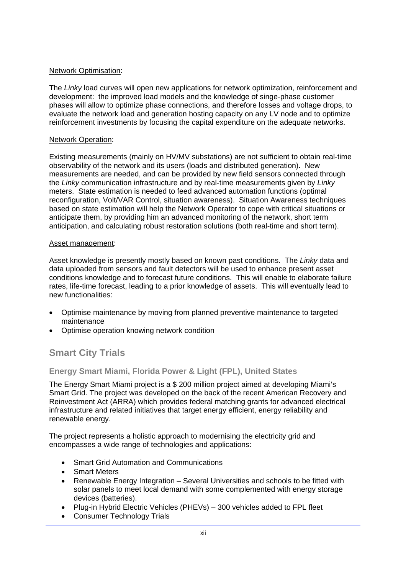## Network Optimisation:

The *Linky* load curves will open new applications for network optimization, reinforcement and development: the improved load models and the knowledge of singe-phase customer phases will allow to optimize phase connections, and therefore losses and voltage drops, to evaluate the network load and generation hosting capacity on any LV node and to optimize reinforcement investments by focusing the capital expenditure on the adequate networks.

### Network Operation:

Existing measurements (mainly on HV/MV substations) are not sufficient to obtain real-time observability of the network and its users (loads and distributed generation). New measurements are needed, and can be provided by new field sensors connected through the *Linky* communication infrastructure and by real-time measurements given by *Linky* meters. State estimation is needed to feed advanced automation functions (optimal reconfiguration, Volt/VAR Control, situation awareness). Situation Awareness techniques based on state estimation will help the Network Operator to cope with critical situations or anticipate them, by providing him an advanced monitoring of the network, short term anticipation, and calculating robust restoration solutions (both real-time and short term).

### Asset management:

Asset knowledge is presently mostly based on known past conditions. The *Linky* data and data uploaded from sensors and fault detectors will be used to enhance present asset conditions knowledge and to forecast future conditions. This will enable to elaborate failure rates, life-time forecast, leading to a prior knowledge of assets. This will eventually lead to new functionalities:

- Optimise maintenance by moving from planned preventive maintenance to targeted maintenance
- Optimise operation knowing network condition

## **Smart City Trials**

## **Energy Smart Miami, Florida Power & Light (FPL), United States**

The Energy Smart Miami project is a \$ 200 million project aimed at developing Miami's Smart Grid. The project was developed on the back of the recent American Recovery and Reinvestment Act (ARRA) which provides federal matching grants for advanced electrical infrastructure and related initiatives that target energy efficient, energy reliability and renewable energy.

The project represents a holistic approach to modernising the electricity grid and encompasses a wide range of technologies and applications:

- Smart Grid Automation and Communications
- Smart Meters
- Renewable Energy Integration Several Universities and schools to be fitted with solar panels to meet local demand with some complemented with energy storage devices (batteries).
- Plug-in Hybrid Electric Vehicles (PHEVs) 300 vehicles added to FPL fleet
- Consumer Technology Trials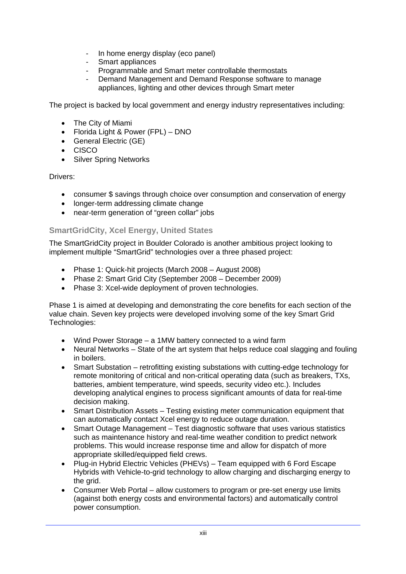- In home energy display (eco panel)
- Smart appliances
- Programmable and Smart meter controllable thermostats
- Demand Management and Demand Response software to manage appliances, lighting and other devices through Smart meter

The project is backed by local government and energy industry representatives including:

- The City of Miami
- Florida Light & Power (FPL) DNO
- General Electric (GE)
- CISCO
- Silver Spring Networks

Drivers:

- consumer \$ savings through choice over consumption and conservation of energy
- longer-term addressing climate change
- near-term generation of "green collar" jobs

## **SmartGridCity, Xcel Energy, United States**

The SmartGridCity project in Boulder Colorado is another ambitious project looking to implement multiple "SmartGrid" technologies over a three phased project:

- Phase 1: Quick-hit projects (March 2008 August 2008)
- Phase 2: Smart Grid City (September 2008 December 2009)
- Phase 3: Xcel-wide deployment of proven technologies.

Phase 1 is aimed at developing and demonstrating the core benefits for each section of the value chain. Seven key projects were developed involving some of the key Smart Grid Technologies:

- Wind Power Storage a 1MW battery connected to a wind farm
- Neural Networks State of the art system that helps reduce coal slagging and fouling in boilers.
- Smart Substation retrofitting existing substations with cutting-edge technology for remote monitoring of critical and non-critical operating data (such as breakers, TXs, batteries, ambient temperature, wind speeds, security video etc.). Includes developing analytical engines to process significant amounts of data for real-time decision making.
- Smart Distribution Assets Testing existing meter communication equipment that can automatically contact Xcel energy to reduce outage duration.
- Smart Outage Management Test diagnostic software that uses various statistics such as maintenance history and real-time weather condition to predict network problems. This would increase response time and allow for dispatch of more appropriate skilled/equipped field crews.
- Plug-in Hybrid Electric Vehicles (PHEVs) Team equipped with 6 Ford Escape Hybrids with Vehicle-to-grid technology to allow charging and discharging energy to the grid.
- Consumer Web Portal allow customers to program or pre-set energy use limits (against both energy costs and environmental factors) and automatically control power consumption.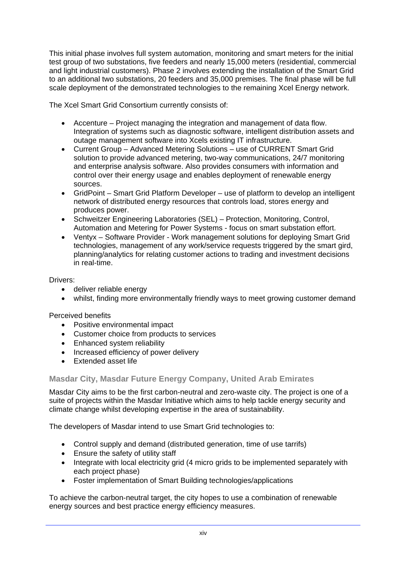This initial phase involves full system automation, monitoring and smart meters for the initial test group of two substations, five feeders and nearly 15,000 meters (residential, commercial and light industrial customers). Phase 2 involves extending the installation of the Smart Grid to an additional two substations, 20 feeders and 35,000 premises. The final phase will be full scale deployment of the demonstrated technologies to the remaining Xcel Energy network.

The Xcel Smart Grid Consortium currently consists of:

- Accenture Project managing the integration and management of data flow. Integration of systems such as diagnostic software, intelligent distribution assets and outage management software into Xcels existing IT infrastructure.
- Current Group Advanced Metering Solutions use of CURRENT Smart Grid solution to provide advanced metering, two-way communications, 24/7 monitoring and enterprise analysis software. Also provides consumers with information and control over their energy usage and enables deployment of renewable energy sources.
- GridPoint Smart Grid Platform Developer use of platform to develop an intelligent network of distributed energy resources that controls load, stores energy and produces power.
- Schweitzer Engineering Laboratories (SEL) Protection, Monitoring, Control, Automation and Metering for Power Systems - focus on smart substation effort.
- Ventyx Software Provider Work management solutions for deploying Smart Grid technologies, management of any work/service requests triggered by the smart gird, planning/analytics for relating customer actions to trading and investment decisions in real-time.

## Drivers:

- deliver reliable energy
- whilst, finding more environmentally friendly ways to meet growing customer demand

Perceived benefits

- Positive environmental impact
- Customer choice from products to services
- Enhanced system reliability
- Increased efficiency of power delivery
- Extended asset life

## **Masdar City, Masdar Future Energy Company, United Arab Emirates**

Masdar City aims to be the first carbon-neutral and zero-waste city. The project is one of a suite of projects within the Masdar Initiative which aims to help tackle energy security and climate change whilst developing expertise in the area of sustainability.

The developers of Masdar intend to use Smart Grid technologies to:

- Control supply and demand (distributed generation, time of use tarrifs)
- Ensure the safety of utility staff
- Integrate with local electricity grid (4 micro grids to be implemented separately with each project phase)
- Foster implementation of Smart Building technologies/applications

To achieve the carbon-neutral target, the city hopes to use a combination of renewable energy sources and best practice energy efficiency measures.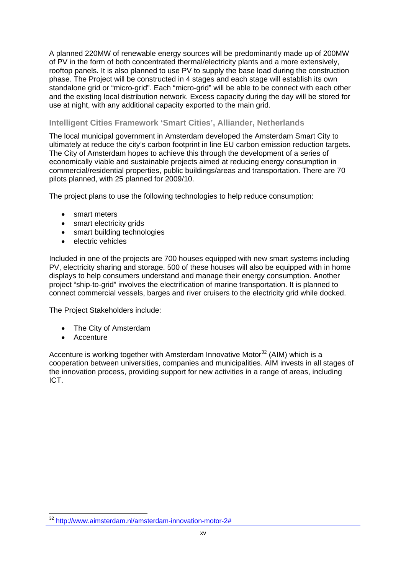A planned 220MW of renewable energy sources will be predominantly made up of 200MW of PV in the form of both concentrated thermal/electricity plants and a more extensively, rooftop panels. It is also planned to use PV to supply the base load during the construction phase. The Project will be constructed in 4 stages and each stage will establish its own standalone grid or "micro-grid". Each "micro-grid" will be able to be connect with each other and the existing local distribution network. Excess capacity during the day will be stored for use at night, with any additional capacity exported to the main grid.

## **Intelligent Cities Framework 'Smart Cities', Alliander, Netherlands**

The local municipal government in Amsterdam developed the Amsterdam Smart City to ultimately at reduce the city's carbon footprint in line EU carbon emission reduction targets. The City of Amsterdam hopes to achieve this through the development of a series of economically viable and sustainable projects aimed at reducing energy consumption in commercial/residential properties, public buildings/areas and transportation. There are 70 pilots planned, with 25 planned for 2009/10.

The project plans to use the following technologies to help reduce consumption:

- smart meters
- smart electricity grids
- smart building technologies
- electric vehicles

Included in one of the projects are 700 houses equipped with new smart systems including PV, electricity sharing and storage. 500 of these houses will also be equipped with in home displays to help consumers understand and manage their energy consumption. Another project "ship-to-grid" involves the electrification of marine transportation. It is planned to connect commercial vessels, barges and river cruisers to the electricity grid while docked.

The Project Stakeholders include:

- The City of Amsterdam
- **Accenture**

Accenture is working together with Amsterdam Innovative Motor<sup>32</sup> (AIM) which is a cooperation between universities, companies and municipalities. AIM invests in all stages of the innovation process, providing support for new activities in a range of areas, including ICT.

 <sup>32</sup> http://www.aimsterdam.nl/amsterdam-innovation-motor-2#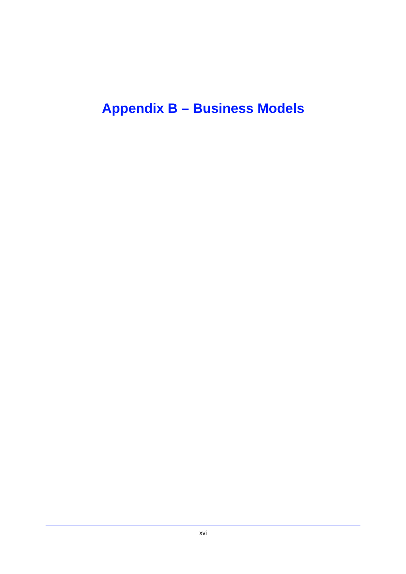# **Appendix B – Business Models**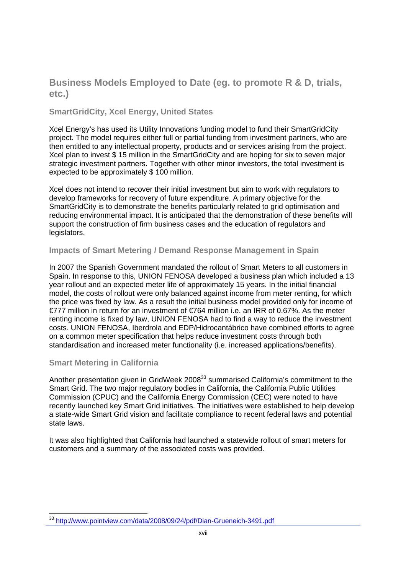## **Business Models Employed to Date (eg. to promote R & D, trials, etc.)**

## **SmartGridCity, Xcel Energy, United States**

Xcel Energy's has used its Utility Innovations funding model to fund their SmartGridCity project. The model requires either full or partial funding from investment partners, who are then entitled to any intellectual property, products and or services arising from the project. Xcel plan to invest \$ 15 million in the SmartGridCity and are hoping for six to seven major strategic investment partners. Together with other minor investors, the total investment is expected to be approximately \$ 100 million.

Xcel does not intend to recover their initial investment but aim to work with regulators to develop frameworks for recovery of future expenditure. A primary objective for the SmartGridCity is to demonstrate the benefits particularly related to grid optimisation and reducing environmental impact. It is anticipated that the demonstration of these benefits will support the construction of firm business cases and the education of regulators and legislators.

## **Impacts of Smart Metering / Demand Response Management in Spain**

In 2007 the Spanish Government mandated the rollout of Smart Meters to all customers in Spain. In response to this, UNION FENOSA developed a business plan which included a 13 year rollout and an expected meter life of approximately 15 years. In the initial financial model, the costs of rollout were only balanced against income from meter renting, for which the price was fixed by law. As a result the initial business model provided only for income of €777 million in return for an investment of €764 million i.e. an IRR of 0.67%. As the meter renting income is fixed by law, UNION FENOSA had to find a way to reduce the investment costs. UNION FENOSA, Iberdrola and EDP/Hidrocantábrico have combined efforts to agree on a common meter specification that helps reduce investment costs through both standardisation and increased meter functionality (i.e. increased applications/benefits).

## **Smart Metering in California**

Another presentation given in GridWeek 2008<sup>33</sup> summarised California's commitment to the Smart Grid. The two major regulatory bodies in California, the California Public Utilities Commission (CPUC) and the California Energy Commission (CEC) were noted to have recently launched key Smart Grid initiatives. The initiatives were established to help develop a state-wide Smart Grid vision and facilitate compliance to recent federal laws and potential state laws.

It was also highlighted that California had launched a statewide rollout of smart meters for customers and a summary of the associated costs was provided.

<sup>&</sup>lt;sup>33</sup> http://www.pointview.com/data/2008/09/24/pdf/Dian-Grueneich-3491.pdf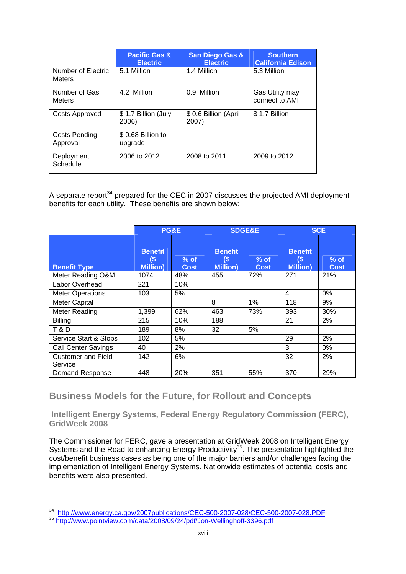|                                     | <b>Pacific Gas &amp;</b><br><b>Electric</b> | <b>San Diego Gas &amp;</b><br><b>Electric</b> | <b>Southern</b><br><b>California Edison</b> |
|-------------------------------------|---------------------------------------------|-----------------------------------------------|---------------------------------------------|
| Number of Electric<br><b>Meters</b> | 5.1 Million                                 | 1.4 Million                                   | 5.3 Million                                 |
| Number of Gas<br><b>Meters</b>      | 4.2 Million                                 | 0.9 Million                                   | Gas Utility may<br>connect to AMI           |
| Costs Approved                      | \$1.7 Billion (July<br>2006)                | \$ 0.6 Billion (April)<br>2007)               | \$1.7 Billion                               |
| Costs Pending<br>Approval           | \$0.68 Billion to<br>upgrade                |                                               |                                             |
| Deployment<br>Schedule              | 2006 to 2012                                | 2008 to 2011                                  | 2009 to 2012                                |

A separate report<sup>34</sup> prepared for the CEC in 2007 discusses the projected AMI deployment benefits for each utility. These benefits are shown below:

|                                      | PG&E                                      |                       | <b>SDGE&amp;E</b>                         |                       | <b>SCE</b>                                |                       |
|--------------------------------------|-------------------------------------------|-----------------------|-------------------------------------------|-----------------------|-------------------------------------------|-----------------------|
| <b>Benefit Type</b>                  | <b>Benefit</b><br>(\$<br><b>Million</b> ) | $%$ of<br><b>Cost</b> | <b>Benefit</b><br>(\$<br><b>Million</b> ) | $%$ of<br><b>Cost</b> | <b>Benefit</b><br>(\$<br><b>Million</b> ) | $%$ of<br><b>Cost</b> |
| Meter Reading O&M                    | 1074                                      | 48%                   | 455                                       | 72%                   | 271                                       | 21%                   |
| Labor Overhead                       | 221                                       | 10%                   |                                           |                       |                                           |                       |
| <b>Meter Operations</b>              | 103                                       | 5%                    |                                           |                       | $\overline{4}$                            | 0%                    |
| <b>Meter Capital</b>                 |                                           |                       | 8                                         | 1%                    | 118                                       | 9%                    |
| <b>Meter Reading</b>                 | 1,399                                     | 62%                   | 463                                       | 73%                   | 393                                       | 30%                   |
| <b>Billing</b>                       | 215                                       | 10%                   | 188                                       |                       | 21                                        | 2%                    |
| <b>T&amp;D</b>                       | 189                                       | 8%                    | 32                                        | 5%                    |                                           |                       |
| Service Start & Stops                | 102                                       | 5%                    |                                           |                       | 29                                        | 2%                    |
| <b>Call Center Savings</b>           | 40                                        | 2%                    |                                           |                       | 3                                         | 0%                    |
| <b>Customer and Field</b><br>Service | 142                                       | 6%                    |                                           |                       | 32                                        | 2%                    |
| <b>Demand Response</b>               | 448                                       | 20%                   | 351                                       | 55%                   | 370                                       | 29%                   |

**Business Models for the Future, for Rollout and Concepts** 

 **Intelligent Energy Systems, Federal Energy Regulatory Commission (FERC), GridWeek 2008** 

The Commissioner for FERC, gave a presentation at GridWeek 2008 on Intelligent Energy Systems and the Road to enhancing Energy Productivity<sup>35</sup>. The presentation highlighted the cost/benefit business cases as being one of the major barriers and/or challenges facing the implementation of Intelligent Energy Systems. Nationwide estimates of potential costs and benefits were also presented.

 <sup>34</sup> http://www.energy.ca.gov/2007publications/CEC-500-2007-028/CEC-500-2007-028.PDF<br><sup>35</sup> http://www.pointview.com/data/2008/09/24/pdf/Jon-Wellinghoff-3396.pdf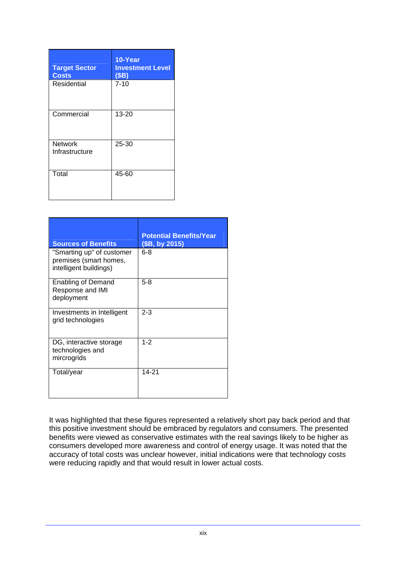| <b>Target Sector</b><br><b>Costs</b> | 10-Year<br><b>Investment Level</b><br>(SB) |
|--------------------------------------|--------------------------------------------|
| Residential                          | $7 - 10$                                   |
| Commercial                           | 13-20                                      |
| <b>Network</b><br>Infrastructure     | 25-30                                      |
| Total                                | 45-60                                      |

| <b>Sources of Benefits</b>                                                    | <b>Potential Benefits/Year</b><br>(\$B, by 2015) |
|-------------------------------------------------------------------------------|--------------------------------------------------|
| "Smarting up" of customer<br>premises (smart homes,<br>intelligent buildings) | $6 - 8$                                          |
| Enabling of Demand<br>Response and IMI<br>deployment                          | $5-8$                                            |
| Investments in Intelligent<br>grid technologies                               | $2 - 3$                                          |
| DG, interactive storage<br>technologies and<br>mircrogrids                    | $1 - 2$                                          |
| Total/year                                                                    | 14-21                                            |

It was highlighted that these figures represented a relatively short pay back period and that this positive investment should be embraced by regulators and consumers. The presented benefits were viewed as conservative estimates with the real savings likely to be higher as consumers developed more awareness and control of energy usage. It was noted that the accuracy of total costs was unclear however, initial indications were that technology costs were reducing rapidly and that would result in lower actual costs.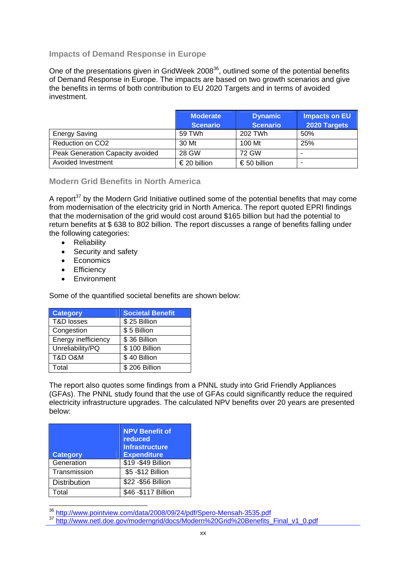## **Impacts of Demand Response in Europe**

One of the presentations given in GridWeek 2008<sup>36</sup>, outlined some of the potential benefits of Demand Response in Europe. The impacts are based on two growth scenarios and give the benefits in terms of both contribution to EU 2020 Targets and in terms of avoided investment.

|                                  | <b>Moderate</b> | <b>Dynamic</b>  | <b>Impacts on EU</b> |
|----------------------------------|-----------------|-----------------|----------------------|
|                                  | <b>Scenario</b> | <b>Scenario</b> | 2020 Targets         |
| <b>Energy Saving</b>             | 59 TWh          | 202 TWh         | 50%                  |
| Reduction on CO <sub>2</sub>     | 30 Mt           | 100 Mt          | 25%                  |
| Peak Generation Capacity avoided | 28 GW           | 72 GW           | -                    |
| Avoided Investment               | € 20 billion    | €50 billion     |                      |

## **Modern Grid Benefits in North America**

A report<sup>37</sup> by the Modern Grid Initiative outlined some of the potential benefits that may come from modernisation of the electricity grid in North America. The report quoted EPRI findings that the modernisation of the grid would cost around \$165 billion but had the potential to return benefits at \$ 638 to 802 billion. The report discusses a range of benefits falling under the following categories:

- Reliability
- Security and safety
- Economics
- Efficiency
- Environment

Some of the quantified societal benefits are shown below:

| <b>Category</b>        | <b>Societal Benefit</b>    |  |
|------------------------|----------------------------|--|
| <b>T&amp;D losses</b>  | $\overline{\$}$ 25 Billion |  |
| Congestion             | \$5 Billion                |  |
| Energy inefficiency    | \$36 Billion               |  |
| Unreliability/PQ       | \$100 Billion              |  |
| <b>T&amp;D O&amp;M</b> | \$40 Billion               |  |
| Total                  | \$206 Billion              |  |

The report also quotes some findings from a PNNL study into Grid Friendly Appliances (GFAs). The PNNL study found that the use of GFAs could significantly reduce the required electricity infrastructure upgrades. The calculated NPV benefits over 20 years are presented below:

| <b>Category</b>     | <b>NPV Benefit of</b><br>reduced<br><b>Infrastructure</b><br><b>Expenditure</b> |
|---------------------|---------------------------------------------------------------------------------|
| Generation          | \$19 - \$49 Billion                                                             |
| Transmission        | \$5 - \$12 Billion                                                              |
| <b>Distribution</b> | \$22 - \$56 Billion                                                             |
| Total               | \$46 - \$117 Billion                                                            |

<sup>&</sup>lt;sup>36</sup> http://www.pointyjew.com/data/2008/09/24/pdf/Spero-Mensah-3535.pdf

<sup>37</sup> http://www.pointview.com/data/2009/es/2 //pdf/spero-mensah-2008/pdf/sperofits\_Final\_v1\_0.pdf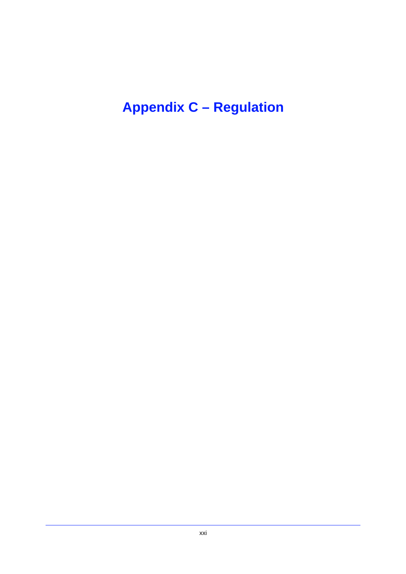**Appendix C – Regulation**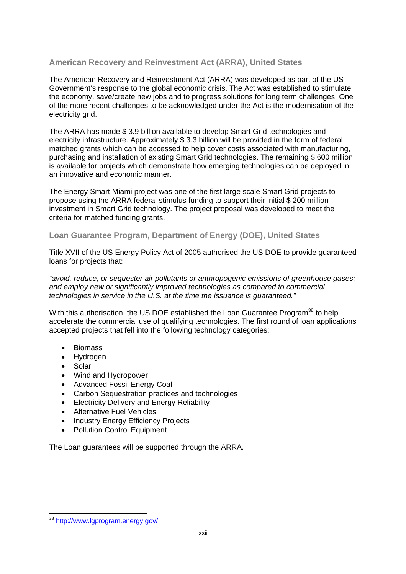## **American Recovery and Reinvestment Act (ARRA), United States**

The American Recovery and Reinvestment Act (ARRA) was developed as part of the US Government's response to the global economic crisis. The Act was established to stimulate the economy, save/create new jobs and to progress solutions for long term challenges. One of the more recent challenges to be acknowledged under the Act is the modernisation of the electricity grid.

The ARRA has made \$ 3.9 billion available to develop Smart Grid technologies and electricity infrastructure. Approximately \$ 3.3 billion will be provided in the form of federal matched grants which can be accessed to help cover costs associated with manufacturing, purchasing and installation of existing Smart Grid technologies. The remaining \$ 600 million is available for projects which demonstrate how emerging technologies can be deployed in an innovative and economic manner.

The Energy Smart Miami project was one of the first large scale Smart Grid projects to propose using the ARRA federal stimulus funding to support their initial \$ 200 million investment in Smart Grid technology. The project proposal was developed to meet the criteria for matched funding grants.

## **Loan Guarantee Program, Department of Energy (DOE), United States**

Title XVII of the US Energy Policy Act of 2005 authorised the US DOE to provide guaranteed loans for projects that:

*"avoid, reduce, or sequester air pollutants or anthropogenic emissions of greenhouse gases; and employ new or significantly improved technologies as compared to commercial technologies in service in the U.S. at the time the issuance is guaranteed."* 

With this authorisation, the US DOE established the Loan Guarantee Program<sup>38</sup> to help accelerate the commercial use of qualifying technologies. The first round of loan applications accepted projects that fell into the following technology categories:

- Biomass
- Hydrogen
- Solar

- Wind and Hydropower
- Advanced Fossil Energy Coal
- Carbon Sequestration practices and technologies
- **Electricity Delivery and Energy Reliability**
- Alternative Fuel Vehicles
- Industry Energy Efficiency Projects
- Pollution Control Equipment

The Loan guarantees will be supported through the ARRA.

<sup>&</sup>lt;sup>38</sup> http://www.lgprogram.energy.gov/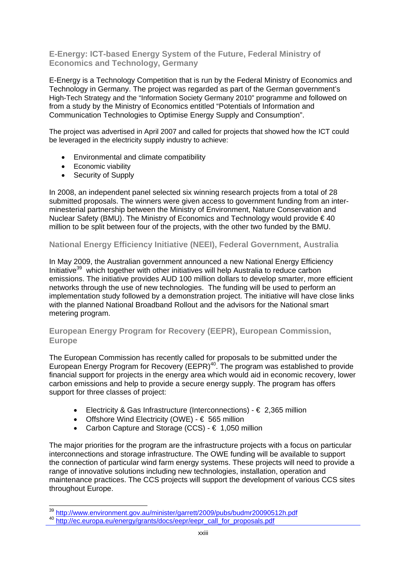**E-Energy: ICT-based Energy System of the Future, Federal Ministry of Economics and Technology, Germany** 

E-Energy is a Technology Competition that is run by the Federal Ministry of Economics and Technology in Germany. The project was regarded as part of the German government's High-Tech Strategy and the "Information Society Germany 2010" programme and followed on from a study by the Ministry of Economics entitled "Potentials of Information and Communication Technologies to Optimise Energy Supply and Consumption".

The project was advertised in April 2007 and called for projects that showed how the ICT could be leveraged in the electricity supply industry to achieve:

- Environmental and climate compatibility
- Economic viability
- Security of Supply

In 2008, an independent panel selected six winning research projects from a total of 28 submitted proposals. The winners were given access to government funding from an interminesterial partnership between the Ministry of Environment, Nature Conservation and Nuclear Safety (BMU). The Ministry of Economics and Technology would provide  $\epsilon$  40 million to be split between four of the projects, with the other two funded by the BMU.

## **National Energy Efficiency Initiative (NEEI), Federal Government, Australia**

In May 2009, the Australian government announced a new National Energy Efficiency Initiative<sup>39</sup> which together with other initiatives will help Australia to reduce carbon emissions. The initiative provides AUD 100 million dollars to develop smarter, more efficient networks through the use of new technologies. The funding will be used to perform an implementation study followed by a demonstration project. The initiative will have close links with the planned National Broadband Rollout and the advisors for the National smart metering program.

## **European Energy Program for Recovery (EEPR), European Commission, Europe**

The European Commission has recently called for proposals to be submitted under the European Energy Program for Recovery (EEPR) $40$ . The program was established to provide financial support for projects in the energy area which would aid in economic recovery, lower carbon emissions and help to provide a secure energy supply. The program has offers support for three classes of project:

- Electricity & Gas Infrastructure (Interconnections)  $\epsilon$  2,365 million
- Offshore Wind Electricity (OWE)  $\epsilon$  565 million
- Carbon Capture and Storage (CCS)  $-$  € 1,050 million

The major priorities for the program are the infrastructure projects with a focus on particular interconnections and storage infrastructure. The OWE funding will be available to support the connection of particular wind farm energy systems. These projects will need to provide a range of innovative solutions including new technologies, installation, operation and maintenance practices. The CCS projects will support the development of various CCS sites throughout Europe.

<sup>&</sup>lt;sup>39</sup> http://www.environment.gov.au/minister/garrett/2009/pubs/budmr20090512h.pdf

<sup>40</sup> http://ec.europa.eu/energy/grants/docs/eepr/eepr\_call\_for\_proposals.pdf